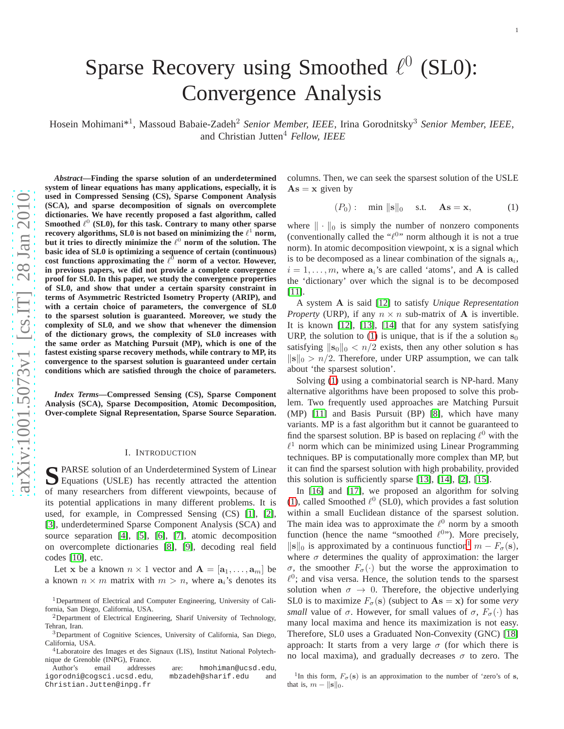# Sparse Recovery using Smoothed  $\ell^0$  (SL0): Convergence Analysis

Hosein Mohimani\* 1 , Massoud Babaie-Zadeh <sup>2</sup> *Senior Member, IEEE*, Irina Gorodnitsky <sup>3</sup> *Senior Member, IEEE* , and Christian Jutten <sup>4</sup> *Fellow, IEEE*

*Abstract***—Finding the sparse solution of an underdetermined system of linear equations has many applications, especially, it is used in Compressed Sensing (CS), Sparse Component Analysis (SCA), and sparse decomposition of signals on overcomplete dictionaries. We have recently proposed a fast algorithm, called** Smoothed  $\ell^0$  (SL0), for this task. Contrary to many other sparse **recovery algorithms, SL0 is not based on minimizing the**  $\ell^1$  **norm,** but it tries to directly minimize the  $\ell^0$  norm of the solution. The **basic idea of SL0 is optimizing a sequence of certain (continuous)** cost functions approximating the  $\ell^0$  norm of a vector. However, **in previous papers, we did not provide a complete convergenc e proof for SL0. In this paper, we study the convergence properties of SL0, and show that under a certain sparsity constraint in terms of Asymmetric Restricted Isometry Property (ARIP), and with a certain choice of parameters, the convergence of SL0 to the sparsest solution is guaranteed. Moreover, we study the complexity of SL0, and we show that whenever the dimension of the dictionary grows, the complexity of SL0 increases wit h the same order as Matching Pursuit (MP), which is one of the fastest existing sparse recovery methods, while contrary to MP, its convergence to the sparsest solution is guaranteed under certain conditions which are satisfied through the choice of parameters.**

*Index Terms***—Compressed Sensing (CS), Sparse Component Analysis (SCA), Sparse Decomposition, Atomic Decomposition, Over-complete Signal Representation, Sparse Source Separation.**

#### I. INTRODUCTION

SPARSE solution of an Underdetermined System of Linear<br>
Equations (USLE) has recently attracted the attention Equations (USLE) has recently attracted the attention of many researchers from different viewpoints, because of its potential applications in many different problems. It i s used, for example, in Compressed Sensing (CS) [\[1\]](#page-12-0), [\[2\]](#page-12-1), [\[3\]](#page-12-2), underdetermined Sparse Component Analysis (SCA) and source separation [\[4\]](#page-12-3), [\[5\]](#page-12-4), [\[6\]](#page-12-5), [\[7\]](#page-12-6), atomic decomposition on overcomplete dictionaries [\[8\]](#page-12-7), [\[9\]](#page-12-8), decoding real field codes [\[10\]](#page-12-9), etc.

Let x be a known  $n \times 1$  vector and  $\mathbf{A} = [\mathbf{a}_1, \dots, \mathbf{a}_m]$  be a known  $n \times m$  matrix with  $m > n$ , where  $a_i$ 's denotes its

Author's email addresses are: hmohiman@ucsd.edu , igorodni@cogsci.ucsd.edu , mbzadeh@sharif.edu and Christian.Jutten@inpg.fr

columns. Then, we can seek the sparsest solution of the USLE  $\mathbf{A}\mathbf{s} = \mathbf{x}$  given by

<span id="page-0-0"></span>
$$
(P_0): \quad \min \| \mathbf{s} \|_0 \quad \text{s.t.} \quad \mathbf{As} = \mathbf{x}, \tag{1}
$$

where  $\|\cdot\|_0$  is simply the number of nonzero components (conventionally called the  $\mathscr{C}^{0*}$  norm although it is not a true norm). In atomic decomposition viewpoint, x is a signal which is to be decomposed as a linear combination of the signals  $a_i$ ,  $i = 1, \dots, m$ , where  $a_i$ 's are called 'atoms', and **A** is called the 'dictionary' over which the signal is to be decomposed  $[11]$ .

A system A is said [\[12\]](#page-13-0) to satisfy *Unique Representation Property* (URP), if any  $n \times n$  sub-matrix of **A** is invertible. It is known [\[12\]](#page-13-0), [\[13\]](#page-13-1), [\[14\]](#page-13-2) that for any system satisfying URP, the solution to [\(1\)](#page-0-0) is unique, that is if the a solution  $s_0$ satisfying  $\|\mathbf{s}_0\|_0 < n/2$  exists, then any other solution s has  $\|\mathbf{s}\|_0 > n/2$ . Therefore, under URP assumption, we can talk about 'the sparsest solution'.

Solving [\(1\)](#page-0-0) using a combinatorial search is NP-hard. Many alternative algorithms have been proposed to solve this problem. Two frequently used approaches are Matching Pursuit (MP) [\[11\]](#page-12-10) and Basis Pursuit (BP) [\[8\]](#page-12-7), which have many variants. MP is a fast algorithm but it cannot be guaranteed to find the sparsest solution. BP is based on replacing  $\ell^0$  with the  $\ell^1$  norm which can be minimized using Linear Programming techniques. BP is computationally more complex than MP, but it can find the sparsest solution with high probability, provided this solution is sufficiently sparse [\[13\]](#page-13-1), [\[14\]](#page-13-2), [\[2\]](#page-12-1), [\[15\]](#page-13-3).

In [\[16\]](#page-13-4) and [\[17\]](#page-13-5), we proposed an algorithm for solving [\(1\)](#page-0-0), called Smoothed  $\ell^0$  (SL0), which provides a fast solution within a small Euclidean distance of the sparsest solution. The main idea was to approximate the  $\ell^0$  norm by a smooth function (hence the name "smoothed  $\ell^{0}$ "). More precisely,  $\|\mathbf{s}\|_0$  is approximated by a continuous function<sup>[1](#page-0-1)</sup>  $m - F_{\sigma}(\mathbf{s})$ , where  $\sigma$  determines the quality of approximation: the larger  $\sigma$ , the smoother  $F_{\sigma}(\cdot)$  but the worse the approximation to  $\ell^0$ ; and visa versa. Hence, the solution tends to the sparsest solution when  $\sigma \rightarrow 0$ . Therefore, the objective underlying SL0 is to maximize  $F_{\sigma}(\mathbf{s})$  (subject to  $\mathbf{A}\mathbf{s} = \mathbf{x}$ ) for some *very small* value of  $\sigma$ . However, for small values of  $\sigma$ ,  $F_{\sigma}(\cdot)$  has many local maxima and hence its maximization is not easy. Therefore, SL0 uses a Graduated Non-Convexity (GNC) [\[18\]](#page-13-6) approach: It starts from a very large  $\sigma$  (for which there is no local maxima), and gradually decreases  $\sigma$  to zero. The

<span id="page-0-1"></span><sup>1</sup>In this form,  $F_{\sigma}$ (s) is an approximation to the number of 'zero's of s, that is,  $m - ||\mathbf{s}||_0$ .

<sup>&</sup>lt;sup>1</sup>Department of Electrical and Computer Engineering, University of California, San Diego, California, USA.

<sup>&</sup>lt;sup>2</sup>Department of Electrical Engineering, Sharif University of Technology, Tehran, Iran.

<sup>3</sup>Department of Cognitive Sciences, University of California, San Diego, California, USA.

<sup>4</sup>Laboratoire des Images et des Signaux (LIS), Institut National Polytechnique de Grenoble (INPG), France.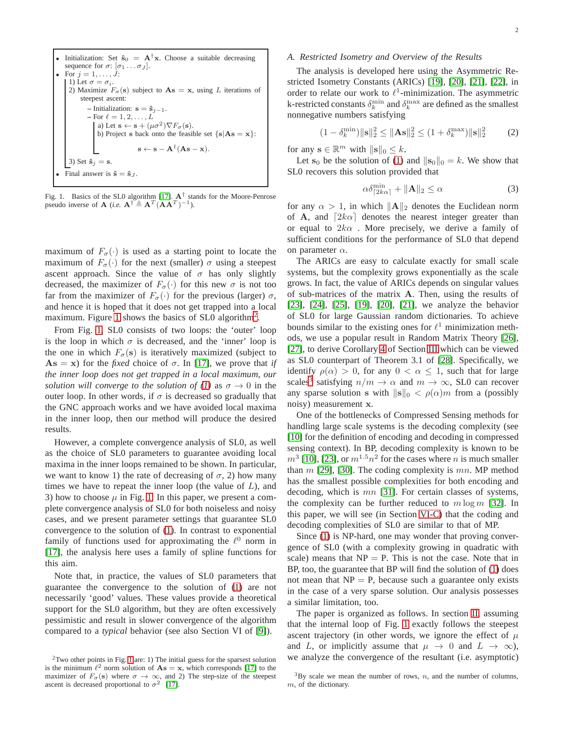\n- Initialization: Set 
$$
\hat{\mathbf{s}}_0 = \mathbf{A}^\dagger \mathbf{x}
$$
. Choose a suitable decreasing sequence for  $\sigma: [\sigma_1 \dots \sigma_J]$ .
\n- For  $j = 1, \dots, J$ :
\n- 1) Let  $\sigma = \sigma_i$ .
\n- 2) Maximize  $F_{\sigma}(\mathbf{s})$  subject to  $\mathbf{A}\mathbf{s} = \mathbf{x}$ , using  $L$  iterations of steepest ascent:
\n\n- Initialization:  $\mathbf{s} = \hat{\mathbf{s}}_{j-1}$ .
\n- For  $\ell = 1, 2, \dots, L$
\n- a) Let  $\mathbf{s} \leftarrow \mathbf{s} + (\mu \sigma^2) \nabla F_{\sigma}(\mathbf{s})$ .
\n- b) Project  $\mathbf{s}$  back onto the feasible set  $\{\mathbf{s} | \mathbf{A}\mathbf{s} = \mathbf{x}\}$ :
\n- 3) Set  $\hat{\mathbf{s}}_j = \mathbf{s}$ .
\n- Final answer is  $\hat{\mathbf{s}} = \hat{\mathbf{s}}_j$ .
\n
\n\n

<span id="page-1-0"></span>Fig. 1. Basics of the SL0 algorithm [\[17\]](#page-13-5).  $A^{\dagger}$  stands for the Moore-Penrose pseudo inverse of **A** (*i.e.*  $A^{\dagger} \triangleq A^T (AA^T)^{-1}$ ).

maximum of  $F_{\sigma}(\cdot)$  is used as a starting point to locate the maximum of  $F_{\sigma}(\cdot)$  for the next (smaller)  $\sigma$  using a steepest ascent approach. Since the value of  $\sigma$  has only slightly decreased, the maximizer of  $F_{\sigma}(\cdot)$  for this new  $\sigma$  is not too far from the maximizer of  $F_{\sigma}(\cdot)$  for the previous (larger)  $\sigma$ , and hence it is hoped that it does not get trapped into a local maximum. Figure [1](#page-1-0) shows the basics of SL0 algorithm<sup>[2](#page-1-1)</sup>.

From Fig. [1,](#page-1-0) SL0 consists of two loops: the 'outer' loop is the loop in which  $\sigma$  is decreased, and the 'inner' loop is the one in which  $F_{\sigma}(\mathbf{s})$  is iteratively maximized (subject to  $\mathbf{A}\mathbf{s} = \mathbf{x}$ ) for the *fixed* choice of  $\sigma$ . In [\[17\]](#page-13-5), we prove that *if the inner loop does not get trapped in a local maximum, our solution will converge to the solution of [\(1\)](#page-0-0)* as  $\sigma \rightarrow 0$  in the outer loop. In other words, if  $\sigma$  is decreased so gradually that the GNC approach works and we have avoided local maxima in the inner loop, then our method will produce the desired results.

However, a complete convergence analysis of SL0, as well as the choice of SL0 parameters to guarantee avoiding local maxima in the inner loops remained to be shown. In particular, we want to know 1) the rate of decreasing of  $\sigma$ , 2) how many times we have to repeat the inner loop (the value of  $L$ ), and 3) how to choose  $\mu$  in Fig. [1.](#page-1-0) In this paper, we present a complete convergence analysis of SL0 for both noiseless and noisy cases, and we present parameter settings that guarantee SL0 convergence to the solution of [\(1\)](#page-0-0). In contrast to exponential family of functions used for approximating the  $\ell^0$  norm in [\[17\]](#page-13-5), the analysis here uses a family of spline functions for this aim.

Note that, in practice, the values of SL0 parameters that guarantee the convergence to the solution of [\(1\)](#page-0-0) are not necessarily 'good' values. These values provide a theoretical support for the SL0 algorithm, but they are often excessively pessimistic and result in slower convergence of the algorithm compared to a *typical* behavior (see also Section VI of [\[9\]](#page-12-8)).

#### *A. Restricted Isometry and Overview of the Results*

The analysis is developed here using the Asymmetric Restricted Isometry Constants (ARICs) [\[19\]](#page-13-7), [\[20\]](#page-13-8), [\[21\]](#page-13-9), [\[22\]](#page-13-10), in order to relate our work to  $\ell^1$ -minimization. The asymmetric k-restricted constants  $\delta_k^{\min}$  and  $\delta_k^{\max}$  are defined as the smallest nonnegative numbers satisfying

<span id="page-1-3"></span>
$$
(1 - \delta_k^{\min}) ||\mathbf{s}||_2^2 \le ||\mathbf{A}\mathbf{s}||_2^2 \le (1 + \delta_k^{\max}) ||\mathbf{s}||_2^2 \tag{2}
$$

for any  $\mathbf{s} \in \mathbb{R}^m$  with  $\|\mathbf{s}\|_0 \leq k$ .

Let  $s_0$  be the solution of [\(1\)](#page-0-0) and  $||s_0||_0 = k$ . We show that SL0 recovers this solution provided that

$$
\alpha \delta_{\lceil 2k\alpha \rceil}^{\min} + \|\mathbf{A}\|_2 \le \alpha \tag{3}
$$

for any  $\alpha > 1$ , in which  $\|\mathbf{A}\|_2$  denotes the Euclidean norm of A, and  $[2k\alpha]$  denotes the nearest integer greater than or equal to  $2k\alpha$ . More precisely, we derive a family of sufficient conditions for the performance of SL0 that depend on parameter  $\alpha$ .

The ARICs are easy to calculate exactly for small scale systems, but the complexity grows exponentially as the scale grows. In fact, the value of ARICs depends on singular values of sub-matrices of the matrix A. Then, using the results of [\[23\]](#page-13-11), [\[24\]](#page-13-12), [\[25\]](#page-13-13), [\[19\]](#page-13-7), [\[20\]](#page-13-8), [\[21\]](#page-13-9), we analyze the behavior of SL0 for large Gaussian random dictionaries. To achieve bounds similar to the existing ones for  $\ell^1$  minimization methods, we use a popular result in Random Matrix Theory [\[26\]](#page-13-14), [\[27\]](#page-13-15), to derive Corollary [4](#page-7-0) of Section [III](#page-6-0) which can be viewed as SL0 counterpart of Theorem 3.1 of [\[28\]](#page-13-16). Specifically, we identify  $\rho(\alpha) > 0$ , for any  $0 < \alpha \leq 1$ , such that for large scales<sup>[3](#page-1-2)</sup> satisfying  $n/m \to \alpha$  and  $m \to \infty$ , SL0 can recover any sparse solution s with  $\|\mathbf{s}\|_0 < \rho(\alpha)m$  from a (possibly noisy) measurement x.

One of the bottlenecks of Compressed Sensing methods for handling large scale systems is the decoding complexity (see [\[10\]](#page-12-9) for the definition of encoding and decoding in compressed sensing context). In BP, decoding complexity is known to be  $m^3$  [\[10\]](#page-12-9), [\[23\]](#page-13-11), or  $m^{1.5}n^2$  for the cases where n is much smaller than  $m$  [\[29\]](#page-13-17), [\[30\]](#page-13-18). The coding complexity is  $mn$ . MP method has the smallest possible complexities for both encoding and decoding, which is mn [\[31\]](#page-13-19). For certain classes of systems, the complexity can be further reduced to  $m \log m$  [\[32\]](#page-13-20). In this paper, we will see (in Section [VI-C\)](#page-12-11) that the coding and decoding complexities of SL0 are similar to that of MP.

Since [\(1\)](#page-0-0) is NP-hard, one may wonder that proving convergence of SL0 (with a complexity growing in quadratic with scale) means that  $NP = P$ . This is not the case. Note that in BP, too, the guarantee that BP will find the solution of [\(1\)](#page-0-0) does not mean that  $NP = P$ , because such a guarantee only exists in the case of a very sparse solution. Our analysis possesses a similar limitation, too.

The paper is organized as follows. In section [II,](#page-2-0) assuming that the internal loop of Fig. [1](#page-1-0) exactly follows the steepest ascent trajectory (in other words, we ignore the effect of  $\mu$ and L, or implicitly assume that  $\mu \to 0$  and  $L \to \infty$ ), we analyze the convergence of the resultant (i.e. asymptotic)

<span id="page-1-1"></span><sup>2</sup>Two other points in Fig. [1](#page-1-0) are: 1) The initial guess for the sparsest solution is the minimum  $\ell^2$  norm solution of  $\mathbf{As} = \mathbf{x}$ , which corresponds [\[17\]](#page-13-5) to the maximizer of  $F_{\sigma}(\mathbf{s})$  where  $\sigma \to \infty$ , and 2) The step-size of the steepest ascent is decreased proportional to  $\sigma^2$  [\[17\]](#page-13-5).

<span id="page-1-2"></span> $3$ By scale we mean the number of rows, n, and the number of columns, m, of the dictionary.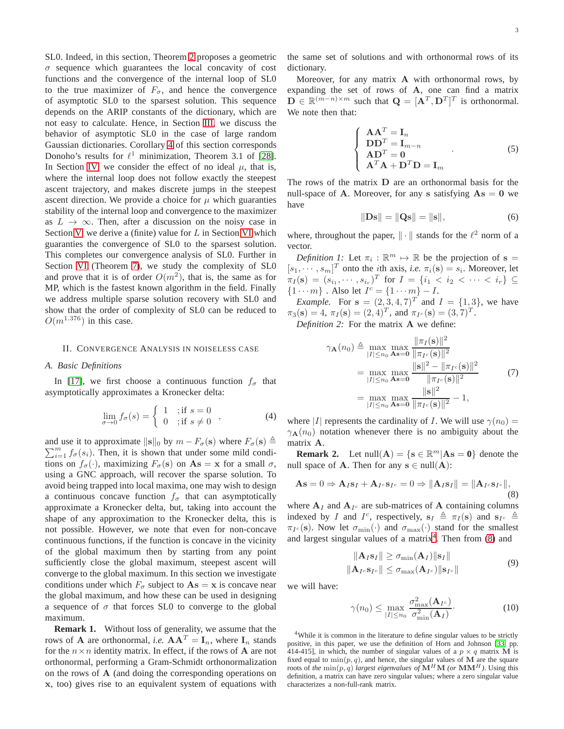SL0. Indeed, in this section, Theorem [2](#page-5-0) proposes a geometric  $\sigma$  sequence which guarantees the local concavity of cost functions and the convergence of the internal loop of SL0 to the true maximizer of  $F_{\sigma}$ , and hence the convergence of asymptotic SL0 to the sparsest solution. This sequence depends on the ARIP constants of the dictionary, which are not easy to calculate. Hence, in Section [III,](#page-6-0) we discuss the behavior of asymptotic SL0 in the case of large random Gaussian dictionaries. Corollary [4](#page-7-0) of this section corresponds Donoho's results for  $\ell^1$  minimization, Theorem 3.1 of [\[28\]](#page-13-16). In Section [IV,](#page-7-1) we consider the effect of no ideal  $\mu$ , that is, where the internal loop does not follow exactly the steepest ascent trajectory, and makes discrete jumps in the steepest ascent direction. We provide a choice for  $\mu$  which guaranties stability of the internal loop and convergence to the maximizer as  $L \to \infty$ . Then, after a discussion on the noisy case in Section [V,](#page-8-0) we derive a (finite) value for  $L$  in Section [VI](#page-9-0) which guaranties the convergence of SL0 to the sparsest solution. This completes our convergence analysis of SL0. Further in Section [VI](#page-9-0) (Theorem [7\)](#page-11-0), we study the complexity of SL0 and prove that it is of order  $O(m^2)$ , that is, the same as for MP, which is the fastest known algorithm in the field. Finally we address multiple sparse solution recovery with SL0 and show that the order of complexity of SL0 can be reduced to  $O(m^{1.376})$  in this case.

## <span id="page-2-0"></span>II. CONVERGENCE ANALYSIS IN NOISELESS CASE

#### *A. Basic Definitions*

In [\[17\]](#page-13-5), we first choose a continuous function  $f_{\sigma}$  that asymptotically approximates a Kronecker delta:

$$
\lim_{\sigma \to 0} f_{\sigma}(s) = \begin{cases} 1 & \text{; if } s = 0 \\ 0 & \text{; if } s \neq 0 \end{cases}, \tag{4}
$$

and use it to approximate  $\|\mathbf{s}\|_0$  by  $m - F_{\sigma}(\mathbf{s})$  where  $F_{\sigma}(\mathbf{s}) \triangleq$  $\sum_{i=1}^{m} f_{\sigma}(s_i)$ . Then, it is shown that under some mild conditions on  $f_{\sigma}(\cdot)$ , maximizing  $F_{\sigma}(\mathbf{s})$  on  $\mathbf{A}\mathbf{s} = \mathbf{x}$  for a small  $\sigma$ , using a GNC approach, will recover the sparse solution. To avoid being trapped into local maxima, one may wish to design a continuous concave function  $f_{\sigma}$  that can asymptotically approximate a Kronecker delta, but, taking into account the shape of any approximation to the Kronecker delta, this is not possible. However, we note that even for non-concave continuous functions, if the function is concave in the vicinity of the global maximum then by starting from any point sufficiently close the global maximum, steepest ascent will converge to the global maximum. In this section we investigate conditions under which  $F_{\sigma}$  subject to  $\mathbf{As} = \mathbf{x}$  is concave near the global maximum, and how these can be used in designing a sequence of  $\sigma$  that forces SL0 to converge to the global maximum.

**Remark 1.** Without loss of generality, we assume that the rows of **A** are orthonormal, *i.e.*  $AA^T = I_n$ , where  $I_n$  stands for the  $n \times n$  identity matrix. In effect, if the rows of **A** are not orthonormal, performing a Gram-Schmidt orthonormalization on the rows of A (and doing the corresponding operations on x, too) gives rise to an equivalent system of equations with

the same set of solutions and with orthonormal rows of its dictionary.

Moreover, for any matrix A with orthonormal rows, by expanding the set of rows of A, one can find a matrix  $\mathbf{D} \in \mathbb{R}^{(m-n)\times m}$  such that  $\mathbf{Q} = [\mathbf{A}^T, \mathbf{D}^T]^T$  is orthonormal. We note then that:

$$
\begin{cases}\n\mathbf{A}\mathbf{A}^T = \mathbf{I}_n\\ \mathbf{D}\mathbf{D}^T = \mathbf{I}_{m-n}\\ \mathbf{A}\mathbf{D}^T = \mathbf{0}\\ \mathbf{A}^T\mathbf{A} + \mathbf{D}^T\mathbf{D} = \mathbf{I}_m\n\end{cases} (5)
$$

The rows of the matrix  $D$  are an orthonormal basis for the null-space of A. Moreover, for any s satisfying  $As = 0$  we have

<span id="page-2-5"></span>
$$
\|\mathbf{D}\mathbf{s}\| = \|\mathbf{Q}\mathbf{s}\| = \|\mathbf{s}\|,\tag{6}
$$

where, throughout the paper,  $\|\cdot\|$  stands for the  $\ell^2$  norm of a vector.

*Definition 1:* Let  $\pi_i : \mathbb{R}^m \mapsto \mathbb{R}$  be the projection of  $s =$  $[s_1, \dots, s_m]^T$  onto the *i*th axis, *i.e.*  $\pi_i(\mathbf{s}) = s_i$ . Moreover, let  $\pi_I(\mathbf{s}) = (s_{i_1}, \cdots, s_{i_r})^T$  for  $I = \{i_1 < i_2 < \cdots < i_r\} \subseteq$  ${1 \cdots m}$ . Also let  $I^c = {1 \cdots m} - I$ .

*Example.* For  $s = (2, 3, 4, 7)^T$  and  $I = \{1, 3\}$ , we have  $\pi_3(\mathbf{s}) = 4$ ,  $\pi_I(\mathbf{s}) = (2, 4)^T$ , and  $\pi_{I^c}(\mathbf{s}) = (3, 7)^T$ .

<span id="page-2-4"></span>*Definition 2:* For the matrix A we define:

$$
\gamma_{\mathbf{A}}(n_0) \triangleq \max_{|I| \le n_0} \max_{\mathbf{A}\mathbf{s}=\mathbf{0}} \frac{\|\pi_I(\mathbf{s})\|^2}{\|\pi_{I^c}(\mathbf{s})\|^2}
$$
  
= 
$$
\max_{|I| \le n_0} \max_{\mathbf{A}\mathbf{s}=\mathbf{0}} \frac{\|\mathbf{s}\|^2 - \|\pi_{I^c}(\mathbf{s})\|^2}{\|\pi_{I^c}(\mathbf{s})\|^2}
$$
  
= 
$$
\max_{|I| \le n_0} \max_{\mathbf{A}\mathbf{s}=\mathbf{0}} \frac{\|\mathbf{s}\|^2}{\|\pi_{I^c}(\mathbf{s})\|^2} - 1,
$$
 (7)

where |I| represents the cardinality of I. We will use  $\gamma(n_0)$  =  $\gamma_{\mathbf{A}}(n_0)$  notation whenever there is no ambiguity about the matrix A.

**Remark 2.** Let  $null(A) = \{s \in \mathbb{R}^m | As = 0\}$  denote the null space of **A**. Then for any  $s \in null(A)$ :

<span id="page-2-2"></span>
$$
\mathbf{A}\mathbf{s} = 0 \Rightarrow \mathbf{A}_{ISI} + \mathbf{A}_{I^c}\mathbf{s}_{I^c} = 0 \Rightarrow \|\mathbf{A}_{ISI}\| = \|\mathbf{A}_{I^c}\mathbf{s}_{I^c}\|,
$$
\n(8)

where  $A_I$  and  $A_{I^c}$  are sub-matrices of A containing columns indexed by I and I<sup>c</sup>, respectively,  $s_I \triangleq \pi_I(s)$  and  $s_{I^c} \triangleq$  $\pi_{I^c}(\mathbf{s})$ . Now let  $\sigma_{\min}(\cdot)$  and  $\sigma_{\max}(\cdot)$  stand for the smallest and largest singular values of a matrix<sup>[4](#page-2-1)</sup>. Then from  $(8)$  and

$$
\|\mathbf{A}_{I}\mathbf{s}_{I}\| \ge \sigma_{\min}(\mathbf{A}_{I})\|\mathbf{s}_{I}\|
$$
  

$$
\|\mathbf{A}_{I} \circ \mathbf{s}_{I} \circ\| \le \sigma_{\max}(\mathbf{A}_{I} \circ)\|\mathbf{s}_{I} \circ\|
$$
 (9)

we will have:

<span id="page-2-3"></span>
$$
\gamma(n_0) \le \max_{|I| \le n_0} \frac{\sigma_{\max}^2(\mathbf{A}_{I^c})}{\sigma_{\min}^2(\mathbf{A}_I)}.
$$
 (10)

<span id="page-2-1"></span><sup>4</sup>While it is common in the literature to define singular values to be strictly positive, in this paper, we use the definition of Horn and Johnson [\[33,](#page-13-21) pp. 414-415], in which, the number of singular values of a  $p \times q$  matrix M is fixed equal to  $\min(p, q)$ , and hence, the singular values of M are the square roots of the  $\min(p, q)$  *largest eigenvalues of*  $\mathbf{M}^H \mathbf{M}$  *(or*  $\mathbf{M} \mathbf{M}^H$ ). Using this definition, a matrix can have zero singular values; where a zero singular value characterizes a non-full-rank matrix.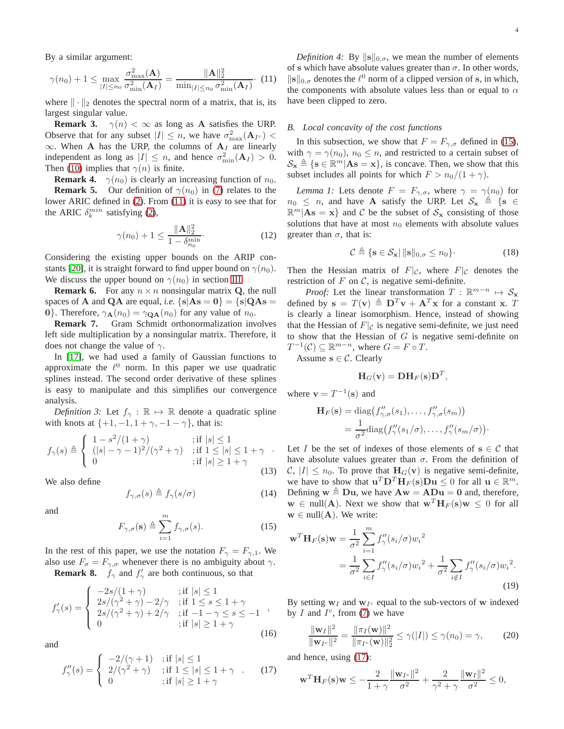By a similar argument:

<span id="page-3-0"></span>
$$
\gamma(n_0) + 1 \le \max_{|I| \le n_0} \frac{\sigma_{\max}^2(\mathbf{A})}{\sigma_{\min}^2(\mathbf{A}_I)} = \frac{\|\mathbf{A}\|_2^2}{\min_{|I| \le n_0} \sigma_{\min}^2(\mathbf{A}_I)}.
$$
 (11)

where  $\|\cdot\|_2$  denotes the spectral norm of a matrix, that is, its largest singular value.

**Remark 3.**  $\gamma(n) < \infty$  as long as A satisfies the URP. Observe that for any subset  $|I| \leq n$ , we have  $\sigma_{\max}^2(\mathbf{A}_{I^c})$  $\infty$ . When A has the URP, the columns of A<sub>I</sub> are linearly independent as long as  $|I| \leq n$ , and hence  $\sigma_{\min}^2(\mathbf{A}_I) > 0$ . Then [\(10\)](#page-2-3) implies that  $\gamma(n)$  is finite.

**Remark 4.**  $\gamma(n_0)$  is clearly an increasing function of  $n_0$ . **Remark 5.** Our definition of  $\gamma(n_0)$  in [\(7\)](#page-2-4) relates to the lower ARIC defined in [\(2\)](#page-1-3). From [\(11\)](#page-3-0) it is easy to see that for the ARIC  $\delta_k^{min}$  satisfying [\(2\)](#page-1-3),

<span id="page-3-9"></span>
$$
\gamma(n_0) + 1 \le \frac{\|\mathbf{A}\|_2^2}{1 - \delta_{n_0}^{\min}}.\tag{12}
$$

Considering the existing upper bounds on the ARIP con-stants [\[20\]](#page-13-8), it is straight forward to find upper bound on  $\gamma(n_0)$ . We discuss the upper bound on  $\gamma(n_0)$  in section [III.](#page-6-0)

**Remark 6.** For any  $n \times n$  nonsingular matrix Q, the null spaces of **A** and **QA** are equal, *i.e.*  ${s | As = 0} = {s | QAs =}$ 0}. Therefore,  $\gamma_{\mathbf{A}}(n_0) = \gamma_{\mathbf{QA}}(n_0)$  for any value of  $n_0$ .

**Remark 7.** Gram Schmidt orthonormalization involves left side multiplication by a nonsingular matrix. Therefore, it does not change the value of  $\gamma$ .

In [\[17\]](#page-13-5), we had used a family of Gaussian functions to approximate the  $\ell^0$  norm. In this paper we use quadratic splines instead. The second order derivative of these splines is easy to manipulate and this simplifies our convergence analysis.

*Definition 3:* Let  $f_{\gamma} : \mathbb{R} \mapsto \mathbb{R}$  denote a quadratic spline with knots at  $\{+1, -1, 1+\gamma, -1-\gamma\}$ , that is:

<span id="page-3-8"></span>
$$
f_{\gamma}(s) \triangleq \begin{cases} 1 - s^2/(1+\gamma) & ; \text{if } |s| \le 1 \\ (|s| - \gamma - 1)^2/(\gamma^2 + \gamma) & ; \text{if } 1 \le |s| \le 1 + \gamma \\ 0 & ; \text{if } |s| \ge 1 + \gamma \end{cases}
$$

We also define

<span id="page-3-5"></span>
$$
f_{\gamma,\sigma}(s) \triangleq f_{\gamma}(s/\sigma) \tag{14}
$$

and

<span id="page-3-1"></span>
$$
F_{\gamma,\sigma}(\mathbf{s}) \triangleq \sum_{i=1}^{m} f_{\gamma,\sigma}(s). \tag{15}
$$

In the rest of this paper, we use the notation  $F_{\gamma} = F_{\gamma,1}$ . We also use  $F_{\sigma} = F_{\gamma,\sigma}$  whenever there is no ambiguity about  $\gamma$ .

**Remark 8.**  $f_{\gamma}$  and  $f'_{\gamma}$  are both continuous, so that

<span id="page-3-7"></span>
$$
f'_{\gamma}(s) = \begin{cases} -2s/(1+\gamma) & ; \text{if } |s| \le 1\\ 2s/(\gamma^2 + \gamma) - 2/\gamma & ; \text{if } 1 \le s \le 1+\gamma\\ 2s/(\gamma^2 + \gamma) + 2/\gamma & ; \text{if } -1-\gamma \le s \le -1\\ 0 & ; \text{if } |s| \ge 1+\gamma \end{cases},
$$
(16)

and

<span id="page-3-2"></span>
$$
f''_{\gamma}(s) = \begin{cases} -2/(\gamma + 1) & ; \text{if } |s| \le 1 \\ 2/(\gamma^2 + \gamma) & ; \text{if } 1 \le |s| \le 1 + \gamma \\ 0 & ; \text{if } |s| \ge 1 + \gamma \end{cases} \tag{17}
$$

*Definition 4:* By  $\|\mathbf{s}\|_{0,\sigma}$ , we mean the number of elements of s which have absolute values greater than  $\sigma$ . In other words,  $\|\mathbf{s}\|_{0,\sigma}$  denotes the  $\ell^0$  norm of a clipped version of s, in which, the components with absolute values less than or equal to  $\alpha$ have been clipped to zero.

#### *B. Local concavity of the cost functions*

In this subsection, we show that  $F = F_{\gamma,\sigma}$  defined in [\(15\)](#page-3-1), with  $\gamma = \gamma(n_0)$ ,  $n_0 \leq n$ , and restricted to a certain subset of  $\mathcal{S}_{\mathbf{x}} \triangleq \{\mathbf{s} \in \mathbb{R}^m | \mathbf{A}\mathbf{s} = \mathbf{x}\},\$ is concave. Then, we show that this subset includes all points for which  $F > n_0/(1 + \gamma)$ .

<span id="page-3-3"></span>*Lemma 1:* Lets denote  $F = F_{\gamma,\sigma}$ , where  $\gamma = \gamma(n_0)$  for  $n_0 \leq n$ , and have A satisfy the URP. Let  $S_x \triangleq \{s \in$  $\mathbb{R}^m | \mathbf{A} \mathbf{s} = \mathbf{x} \}$  and C be the subset of  $\mathcal{S}_\mathbf{x}$  consisting of those solutions that have at most  $n_0$  elements with absolute values greater than  $\sigma$ , that is:

<span id="page-3-4"></span>
$$
\mathcal{C} \triangleq \{ \mathbf{s} \in \mathcal{S}_{\mathbf{x}} \mid \|\mathbf{s}\|_{0,\sigma} \le n_0 \}.
$$
 (18)

Then the Hessian matrix of  $F|_{\mathcal{C}}$ , where  $F|_{\mathcal{C}}$  denotes the restriction of  $F$  on  $\mathcal{C}$ , is negative semi-definite.

*Proof:* Let the linear transformation  $T : \mathbb{R}^{m-n} \mapsto \mathcal{S}_{\mathbf{x}}$ defined by  $\mathbf{s} = T(\mathbf{v}) \triangleq \mathbf{D}^T \mathbf{v} + \mathbf{A}^T \mathbf{x}$  for a constant x. T is clearly a linear isomorphism. Hence, instead of showing that the Hessian of  $F|_{\mathcal{C}}$  is negative semi-definite, we just need to show that the Hessian of  $G$  is negative semi-definite on  $T^{-1}(\mathcal{C}) \subseteq \mathbb{R}^{m-n}$ , where  $G = F \circ T$ .

Assume  $s \in \mathcal{C}$ . Clearly

$$
\mathbf{H}_G(\mathbf{v}) = \mathbf{D}\mathbf{H}_F(\mathbf{s})\mathbf{D}^T,
$$

where  $\mathbf{v} = T^{-1}(\mathbf{s})$  and

$$
\mathbf{H}_F(\mathbf{s}) = \text{diag}(f''_{\gamma,\sigma}(s_1), \dots, f''_{\gamma,\sigma}(s_m))
$$
  
= 
$$
\frac{1}{\sigma^2} \text{diag}(f''_{\gamma}(s_1/\sigma), \dots, f''_{\gamma}(s_m/\sigma))
$$
.

(13) C,  $|I| \le n_0$ . To prove that  $\mathbf{H}_G(\mathbf{v})$  is negative semi-definite, Let I be the set of indexes of those elements of  $s \in C$  that have absolute values greater than  $\sigma$ . From the definition of we have to show that  $\mathbf{u}^T \mathbf{D}^T \mathbf{H}_F(\mathbf{s}) \mathbf{D} \mathbf{u} \leq 0$  for all  $\mathbf{u} \in \mathbb{R}^m$ . Defining  $w \triangleq Du$ , we have  $Aw = ADu = 0$  and, therefore,  $w \in null(A)$ . Next we show that  $w^T H_F(s) w \leq 0$  for all  $w \in null(A)$ . We write:

<span id="page-3-10"></span>
$$
\mathbf{w}^T \mathbf{H}_F(\mathbf{s}) \mathbf{w} = \frac{1}{\sigma^2} \sum_{i=1}^m f''_\gamma (s_i/\sigma) w_i^2
$$
  
= 
$$
\frac{1}{\sigma^2} \sum_{i \in I} f''_\gamma (s_i/\sigma) w_i^2 + \frac{1}{\sigma^2} \sum_{i \notin I} f''_\gamma (s_i/\sigma) w_i^2.
$$
 (19)

By setting  $w_I$  and  $w_{I^c}$  equal to the sub-vectors of w indexed by  $I$  and  $I^c$ , from [\(7\)](#page-2-4) we have

<span id="page-3-6"></span>
$$
\frac{\|\mathbf{w}_I\|^2}{\|\mathbf{w}_{I^c}\|^2} = \frac{\|\pi_I(\mathbf{w})\|^2}{\|\pi_{I^c}(\mathbf{w})\|^2_2} \le \gamma(|I|) \le \gamma(n_0) = \gamma,
$$
 (20)

and hence, using [\(17\)](#page-3-2):

$$
\mathbf{w}^T \mathbf{H}_F(\mathbf{s}) \mathbf{w} \le -\frac{2}{1+\gamma} \frac{\|\mathbf{w}_{I^c}\|^2}{\sigma^2} + \frac{2}{\gamma^2 + \gamma} \frac{\|\mathbf{w}_I\|^2}{\sigma^2} \le 0,
$$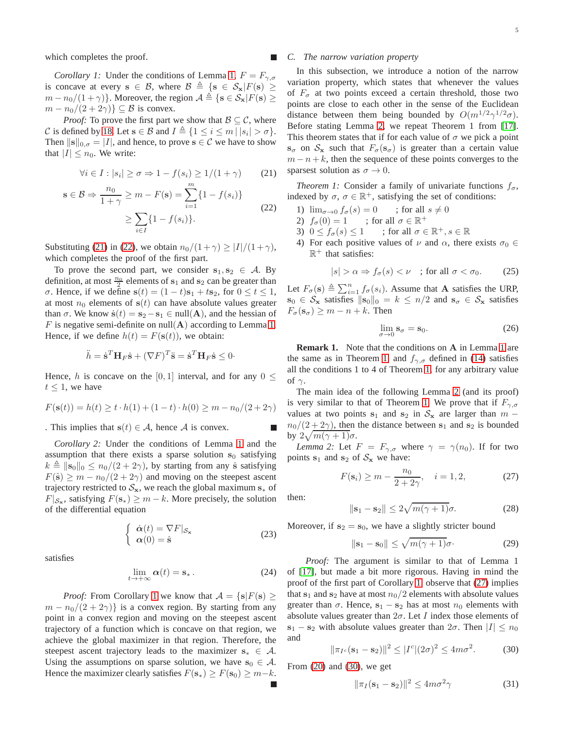<span id="page-4-2"></span>which completes the proof.

*Corollary 1:* Under the conditions of Lemma [1,](#page-3-3)  $F = F_{\gamma, \sigma}$ is concave at every  $s \in \mathcal{B}$ , where  $\mathcal{B} \triangleq \{s \in \mathcal{S}_x | F(s) \geq$  $m - n_0/(1 + \gamma)$ . Moreover, the region  $A \triangleq \{s \in S_x | F(s) \geq \gamma\}$  $m - n_0/(2 + 2\gamma) \leq \mathcal{B}$  is convex.

*Proof:* To prove the first part we show that  $\mathcal{B} \subseteq \mathcal{C}$ , where C is defined by [18.](#page-3-4) Let  $s \in B$  and  $I \triangleq \{1 \le i \le m | |s_i| > \sigma\}.$ Then  $\|\mathbf{s}\|_{0,\sigma} = |I|$ , and hence, to prove  $\mathbf{s} \in \mathcal{C}$  we have to show that  $|I| \leq n_0$ . We write:

$$
\forall i \in I : |s_i| \ge \sigma \Rightarrow 1 - f(s_i) \ge 1/(1+\gamma) \tag{21}
$$

$$
\mathbf{s} \in \mathcal{B} \Rightarrow \frac{n_0}{1+\gamma} \ge m - F(\mathbf{s}) = \sum_{i=1}^{m} \{1 - f(s_i)\}
$$

$$
\ge \sum_{i \in I} \{1 - f(s_i)\}.
$$
(22)

Substituting [\(21\)](#page-4-0) in [\(22\)](#page-4-1), we obtain  $n_0/(1+\gamma) \geq |I|/(1+\gamma)$ , which completes the proof of the first part.

To prove the second part, we consider  $s_1, s_2 \in \mathcal{A}$ . By definition, at most  $\frac{n_0}{2}$  elements of s<sub>1</sub> and s<sub>2</sub> can be greater than *σ*. Hence, if we define  $s(t) = (1 - t)s₁ + ts₂$ , for  $0 ≤ t ≤ 1$ , at most  $n_0$  elements of  $s(t)$  can have absolute values greater than  $\sigma$ . We know  $\dot{\mathbf{s}}(t) = \mathbf{s}_2 - \mathbf{s}_1 \in \text{null}(\mathbf{A})$ , and the hessian of F is negative semi-definite on null( $\bf{A}$ ) according to Lemma [1.](#page-3-3) Hence, if we define  $h(t) = F(\mathbf{s}(t))$ , we obtain:

$$
\ddot{h} = \dot{\mathbf{s}}^T \mathbf{H}_F \dot{\mathbf{s}} + (\nabla F)^T \ddot{\mathbf{s}} = \dot{\mathbf{s}}^T \mathbf{H}_F \dot{\mathbf{s}} \le 0
$$

Hence, h is concave on the [0, 1] interval, and for any  $0 \leq$  $t \leq 1$ , we have

$$
F(\mathbf{s}(t)) = h(t) \ge t \cdot h(1) + (1 - t) \cdot h(0) \ge m - n_0/(2 + 2\gamma)
$$

<span id="page-4-8"></span>. This implies that  $s(t) \in A$ , hence A is convex.

*Corollary 2:* Under the conditions of Lemma [1](#page-3-3) and the assumption that there exists a sparse solution  $s_0$  satisfying  $k \triangleq ||\mathbf{s}_0||_0 \leq n_0/(2 + 2\gamma)$ , by starting from any  $\hat{\mathbf{s}}$  satisfying  $F(\hat{\bf{s}}) \geq m - n_0/(2 + 2\gamma)$  and moving on the steepest ascent trajectory restricted to  $S_x$ , we reach the global maximum s<sub>\*</sub> of  $F|_{\mathcal{S}_{\mathbf{x}}}$ , satisfying  $F(\mathbf{s}_{*}) \geq m - k$ . More precisely, the solution of the differential equation

$$
\begin{cases} \dot{\boldsymbol{\alpha}}(t) = \nabla F|_{\mathcal{S}_{\mathbf{x}}} \\ \boldsymbol{\alpha}(0) = \hat{\mathbf{s}} \end{cases}
$$
 (23)

satisfies

$$
\lim_{t \to +\infty} \alpha(t) = \mathbf{s}_{*} \,. \tag{24}
$$

*Proof:* From Corollary [1](#page-4-2) we know that  $A = \{s | F(s) \geq 0\}$  $m - n_0/(2 + 2\gamma)$  is a convex region. By starting from any point in a convex region and moving on the steepest ascent trajectory of a function which is concave on that region, we achieve the global maximizer in that region. Therefore, the steepest ascent trajectory leads to the maximizer  $s_* \in A$ . Using the assumptions on sparse solution, we have  $s_0 \in A$ . Hence the maximizer clearly satisfies  $F(\mathbf{s}_*) \geq F(\mathbf{s}_0) \geq m-k$ .

## *C. The narrow variation property*

In this subsection, we introduce a notion of the narrow variation property, which states that whenever the values of  $F_{\sigma}$  at two points exceed a certain threshold, those two points are close to each other in the sense of the Euclidean distance between them being bounded by  $O(m^{1/2}\gamma^{1/2}\sigma)$ . Before stating Lemma [2,](#page-4-3) we repeat Theorem 1 from [\[17\]](#page-13-5). This theorem states that if for each value of  $\sigma$  we pick a point  $s_{\sigma}$  on  $S_{x}$  such that  $F_{\sigma}(s_{\sigma})$  is greater than a certain value  $m - n + k$ , then the sequence of these points converges to the sparsest solution as  $\sigma \to 0$ .

<span id="page-4-4"></span><span id="page-4-1"></span><span id="page-4-0"></span>*Theorem 1:* Consider a family of univariate functions  $f_{\sigma}$ , indexed by  $\sigma$ ,  $\sigma \in \mathbb{R}^+$ , satisfying the set of conditions:

- 1)  $\lim_{\sigma \to 0} f_{\sigma}(s) = 0$  ; for all  $s \neq 0$ <br>2)  $f_{\sigma}(0) = 1$  ; for all  $\sigma \in \mathbb{R}^+$
- 2)  $f_{\sigma}(0) = 1$  ; for all  $\sigma \in \mathbb{R}^+$
- 3)  $0 \leq f_{\sigma}(s) \leq 1$ ; for all  $\sigma \in \mathbb{R}^+, s \in \mathbb{R}$
- 4) For each positive values of  $\nu$  and  $\alpha$ , there exists  $\sigma_0 \in$  $\mathbb{R}^+$  that satisfies:

$$
|s| > \alpha \Rightarrow f_{\sigma}(s) < \nu \quad \text{; for all } \sigma < \sigma_0. \tag{25}
$$

Let  $F_{\sigma}(\mathbf{s}) \triangleq \sum_{i=1}^{n} f_{\sigma}(s_i)$ . Assume that **A** satisfies the URP,  $s_0 \in S_{\mathbf{x}}$  satisfies  $\|\mathbf{s}_0\|_0 = k \leq n/2$  and  $\mathbf{s}_{\sigma} \in S_{\mathbf{x}}$  satisfies  $F_{\sigma}(s_{\sigma}) \geq m - n + k$ . Then

$$
\lim_{\sigma \to 0} \mathbf{s}_{\sigma} = \mathbf{s}_0. \tag{26}
$$

**Remark [1](#page-3-3).** Note that the conditions on A in Lemma 1 are the same as in Theorem [1,](#page-4-4) and  $f_{\gamma,\sigma}$  defined in [\(14\)](#page-3-5) satisfies all the conditions 1 to 4 of Theorem [1,](#page-4-4) for any arbitrary value of  $γ$ .

The main idea of the following Lemma [2](#page-4-3) (and its proof) is very similar to that of Theorem [1.](#page-4-4) We prove that if  $F_{\gamma,\sigma}$ values at two points s<sub>1</sub> and s<sub>2</sub> in  $S_x$  are larger than m −  $n_0/(2+2\gamma)$ , then the distance between  $s_1$  and  $s_2$  is bounded by  $2\sqrt{m(\gamma+1)}\sigma$ .

<span id="page-4-3"></span>*Lemma 2:* Let  $F = F_{\gamma,\sigma}$  where  $\gamma = \gamma(n_0)$ . If for two points  $s_1$  and  $s_2$  of  $S_x$  we have:

<span id="page-4-5"></span>
$$
F(\mathbf{s}_i) \ge m - \frac{n_0}{2 + 2\gamma}, \quad i = 1, 2,
$$
 (27)

then:

<span id="page-4-7"></span>
$$
\|\mathbf{s}_1 - \mathbf{s}_2\| \le 2\sqrt{m(\gamma + 1)}\sigma. \tag{28}
$$

Moreover, if  $s_2 = s_0$ , we have a slightly stricter bound

$$
\|\mathbf{s}_1 - \mathbf{s}_0\| \le \sqrt{m(\gamma + 1)}\sigma.
$$
 (29)

*Proof:* The argument is similar to that of Lemma 1 of [\[17\]](#page-13-5), but made a bit more rigorous. Having in mind the proof of the first part of Corollary [1,](#page-4-2) observe that [\(27\)](#page-4-5) implies that  $s_1$  and  $s_2$  have at most  $n_0/2$  elements with absolute values greater than  $\sigma$ . Hence,  $s_1 - s_2$  has at most  $n_0$  elements with absolute values greater than  $2\sigma$ . Let *I* index those elements of  $s_1 - s_2$  with absolute values greater than  $2\sigma$ . Then  $|I| \leq n_0$ and

<span id="page-4-6"></span>
$$
\|\pi_{I^c}(\mathbf{s}_1 - \mathbf{s}_2)\|^2 \le |I^c|(2\sigma)^2 \le 4m\sigma^2. \tag{30}
$$

From  $(20)$  and  $(30)$ , we get

$$
\|\pi_I(\mathbf{s}_1 - \mathbf{s}_2)\|^2 \le 4m\sigma^2\gamma\tag{31}
$$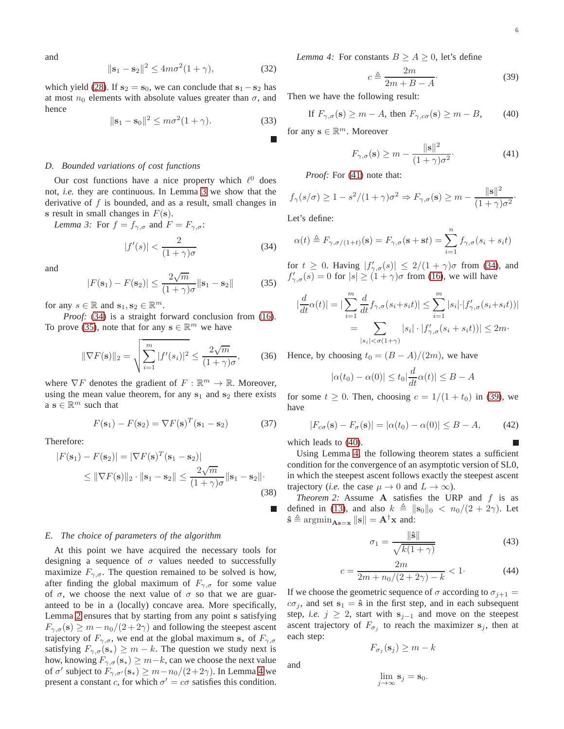and

$$
\|\mathbf{s}_1 - \mathbf{s}_2\|^2 \le 4m\sigma^2(1+\gamma),\tag{32}
$$

which yield [\(28\)](#page-4-7). If  $s_2 = s_0$ , we can conclude that  $s_1 - s_2$  has at most  $n_0$  elements with absolute values greater than  $\sigma$ , and hence

$$
\|\mathbf{s}_1 - \mathbf{s}_0\|^2 \le m\sigma^2(1+\gamma). \tag{33}
$$

#### *D. Bounded variations of cost functions*

Our cost functions have a nice property which  $\ell^0$  does not, *i.e.* they are continuous. In Lemma [3](#page-5-1) we show that the derivative of  $f$  is bounded, and as a result, small changes in s result in small changes in  $F(\mathbf{s})$ .

*Lemma 3:* For  $f = f_{\gamma,\sigma}$  and  $F = F_{\gamma,\sigma}$ :

<span id="page-5-2"></span><span id="page-5-1"></span>
$$
|f'(s)| < \frac{2}{(1+\gamma)\sigma} \tag{34}
$$

and

<span id="page-5-3"></span>
$$
|F(\mathbf{s}_1) - F(\mathbf{s}_2)| \le \frac{2\sqrt{m}}{(1+\gamma)\sigma} \|\mathbf{s}_1 - \mathbf{s}_2\| \tag{35}
$$

for any  $s \in \mathbb{R}$  and  $\mathbf{s}_1, \mathbf{s}_2 \in \mathbb{R}^m$ .

*Proof:* [\(34\)](#page-5-2) is a straight forward conclusion from [\(16\)](#page-3-7). To prove [\(35\)](#page-5-3), note that for any  $s \in \mathbb{R}^m$  we have

$$
\|\nabla F(\mathbf{s})\|_{2} = \sqrt{\sum_{i=1}^{m} |f'(s_i)|^2} \le \frac{2\sqrt{m}}{(1+\gamma)\sigma},
$$
 (36)

where  $\nabla F$  denotes the gradient of  $F : \mathbb{R}^m \to \mathbb{R}$ . Moreover, using the mean value theorem, for any  $s_1$  and  $s_2$  there exists  $a s \in \mathbb{R}^m$  such that

$$
F(\mathbf{s}_1) - F(\mathbf{s}_2) = \nabla F(\mathbf{s})^T (\mathbf{s}_1 - \mathbf{s}_2)
$$
 (37)

Therefore:

$$
|F(\mathbf{s}_1) - F(\mathbf{s}_2)| = |\nabla F(\mathbf{s})^T(\mathbf{s}_1 - \mathbf{s}_2)|
$$
  
\n
$$
\leq ||\nabla F(\mathbf{s})||_2 \cdot ||\mathbf{s}_1 - \mathbf{s}_2|| \leq \frac{2\sqrt{m}}{(1 + \gamma)\sigma} ||\mathbf{s}_1 - \mathbf{s}_2||.
$$
\n(38)

#### *E. The choice of parameters of the algorithm*

<span id="page-5-4"></span>At this point we have acquired the necessary tools for designing a sequence of  $\sigma$  values needed to successfully maximize  $F_{\gamma,\sigma}$ . The question remained to be solved is how, after finding the global maximum of  $F_{\gamma,\sigma}$  for some value of  $\sigma$ , we choose the next value of  $\sigma$  so that we are guaranteed to be in a (locally) concave area. More specifically, Lemma [2](#page-4-8) ensures that by starting from any point s satisfying  $F_{\gamma,\sigma}(\mathbf{s}) \geq m - n_0/(2 + 2\gamma)$  and following the steepest ascent trajectory of  $F_{\gamma,\sigma}$ , we end at the global maximum  $s_*$  of  $F_{\gamma,\sigma}$ satisfying  $F_{\gamma,\sigma}(\mathbf{s}_*) \geq m - k$ . The question we study next is how, knowing  $F_{\gamma,\sigma}(\mathbf{s}_*) \geq m-k$ , can we choose the next value of  $\sigma'$  subject to  $F_{\gamma,\sigma'}(\mathbf{s}_*) \geq m - n_0/(2+2\gamma)$ . In Lemma [4](#page-5-4) we present a constant c, for which  $\sigma' = c\sigma$  satisfies this condition. *Lemma 4:* For constants  $B \ge A \ge 0$ , let's define

<span id="page-5-6"></span>
$$
c \triangleq \frac{2m}{2m + B - A}.\tag{39}
$$

Then we have the following result:

<span id="page-5-7"></span>If 
$$
F_{\gamma,\sigma}(\mathbf{s}) \ge m - A
$$
, then  $F_{\gamma,c\sigma}(\mathbf{s}) \ge m - B$ , (40)

for any  $\mathbf{s} \in \mathbb{R}^m$ . Moreover

<span id="page-5-5"></span>
$$
F_{\gamma,\sigma}(\mathbf{s}) \ge m - \frac{\|\mathbf{s}\|^2}{(1+\gamma)\sigma^2}.\tag{41}
$$

*Proof:* For [\(41\)](#page-5-5) note that:

$$
f_{\gamma}(s/\sigma) \ge 1 - s^2/(1+\gamma)\sigma^2 \Rightarrow F_{\gamma,\sigma}(\mathbf{s}) \ge m - \frac{\|\mathbf{s}\|^2}{(1+\gamma)\sigma^2}.
$$

Let's define:

$$
\alpha(t) \triangleq F_{\gamma,\sigma/(1+t)}(\mathbf{s}) = F_{\gamma,\sigma}(\mathbf{s} + \mathbf{s}t) = \sum_{i=1}^{n} f_{\gamma,\sigma}(s_i + s_i t)
$$

for  $t \geq 0$ . Having  $|f'_{\gamma,\sigma}(s)| \leq 2/(1+\gamma)\sigma$  from [\(34\)](#page-5-2), and  $f'_{\gamma,\sigma}(s) = 0$  for  $|s| \ge (1 + \gamma)\sigma$  from [\(16\)](#page-3-7), we will have

$$
\left| \frac{d}{dt} \alpha(t) \right| = \left| \sum_{i=1}^{m} \frac{d}{dt} f_{\gamma, \sigma}(s_i + s_i t) \right| \le \sum_{i=1}^{m} |s_i| \cdot |f'_{\gamma, \sigma}(s_i + s_i t))|
$$

$$
= \sum_{|s_i| < \sigma(1+\gamma)} |s_i| \cdot |f'_{\gamma, \sigma}(s_i + s_i t))| \le 2m.
$$

Hence, by choosing  $t_0 = (B - A)/(2m)$ , we have

$$
|\alpha(t_0) - \alpha(0)| \le t_0 \left| \frac{d}{dt} \alpha(t) \right| \le B - A
$$

for some  $t \geq 0$ . Then, choosing  $c = 1/(1 + t_0)$  in [\(39\)](#page-5-6), we have

$$
|F_{c\sigma}(\mathbf{s}) - F_{\sigma}(\mathbf{s})| = |\alpha(t_0) - \alpha(0)| \le B - A,\tag{42}
$$

which leads to [\(40\)](#page-5-7).

Using Lemma [4,](#page-5-4) the following theorem states a sufficient condition for the convergence of an asymptotic version of SL0, in which the steepest ascent follows exactly the steepest ascent trajectory (*i.e.* the case  $\mu \to 0$  and  $L \to \infty$ ).

<span id="page-5-0"></span>*Theorem 2:* Assume **A** satisfies the URP and f is as defined in [\(13\)](#page-3-8), and also  $k \triangleq ||\mathbf{s}_0||_0 < n_0/(2 + 2\gamma)$ . Let  $\hat{\mathbf{s}} \triangleq \operatorname{argmin}_{\mathbf{As}=\mathbf{x}} \|\mathbf{s}\| = \mathbf{A}^{\dagger} \mathbf{x}$  and:

<span id="page-5-8"></span>
$$
\sigma_1 = \frac{\|\hat{\mathbf{s}}\|}{\sqrt{k(1+\gamma)}}\tag{43}
$$

<span id="page-5-9"></span>
$$
c = \frac{2m}{2m + n_0/(2 + 2\gamma) - k} < 1. \tag{44}
$$

If we choose the geometric sequence of  $\sigma$  according to  $\sigma_{j+1} =$  $c\sigma_j$ , and set  $s_1 = \hat{s}$  in the first step, and in each subsequent step, *i.e.*  $j \geq 2$ , start with  $s_{j-1}$  and move on the steepest ascent trajectory of  $F_{\sigma_j}$  to reach the maximizer  $s_j$ , then at each step:

 $F_{\sigma_j}(\mathbf{s}_j) \geq m - k$ 

and

$$
\lim_{j\to\infty} \mathbf{s}_j = \mathbf{s}_0.
$$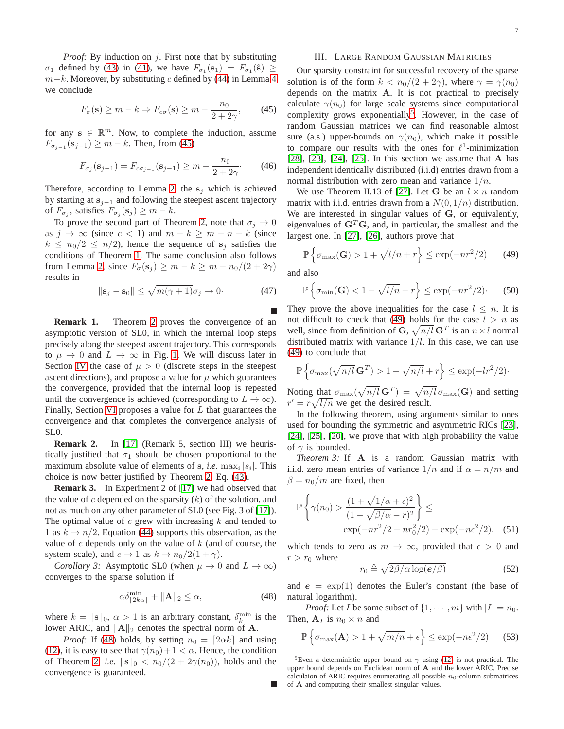*Proof:* By induction on j. First note that by substituting  $\sigma_1$  defined by [\(43\)](#page-5-8) in [\(41\)](#page-5-5), we have  $F_{\sigma_1}(\mathbf{s}_1) = F_{\sigma_1}(\hat{\mathbf{s}}) \ge$  $m-k$ . Moreover, by substituting c defined by [\(44\)](#page-5-9) in Lemma [4](#page-5-4) we conclude

<span id="page-6-1"></span>
$$
F_{\sigma}(\mathbf{s}) \ge m - k \Rightarrow F_{c\sigma}(\mathbf{s}) \ge m - \frac{n_0}{2 + 2\gamma},\qquad(45)
$$

for any  $s \in \mathbb{R}^m$ . Now, to complete the induction, assume  $F_{\sigma_{j-1}}(\mathbf{s}_{j-1}) \geq m - k$ . Then, from [\(45\)](#page-6-1)

$$
F_{\sigma_j}(\mathbf{s}_{j-1}) = F_{c\sigma_{j-1}}(\mathbf{s}_{j-1}) \ge m - \frac{n_0}{2 + 2\gamma}.
$$
 (46)

Therefore, according to Lemma [2,](#page-4-8) the  $s_i$  which is achieved by starting at  $s_{i-1}$  and following the steepest ascent trajectory of  $F_{\sigma_j}$ , satisfies  $F_{\sigma_j}(\mathbf{s}_j) \geq m - k$ .

To prove the second part of Theorem [2,](#page-5-0) note that  $\sigma_j \to 0$ as  $j \to \infty$  (since  $c < 1$ ) and  $m - k \ge m - n + k$  (since  $k \leq n_0/2 \leq n/2$ , hence the sequence of  $s_i$  satisfies the conditions of Theorem [1.](#page-4-4) The same conclusion also follows from Lemma [2,](#page-4-3) since  $F_{\sigma}(\mathbf{s}_j) \geq m - k \geq m - n_0/(2 + 2\gamma)$ results in

$$
\|\mathbf{s}_j - \mathbf{s}_0\| \le \sqrt{m(\gamma + 1)}\sigma_j \to 0. \tag{47}
$$

**Remark 1.** Theorem [2](#page-5-0) proves the convergence of an asymptotic version of SL0, in which the internal loop steps precisely along the steepest ascent trajectory. This corresponds to  $\mu \to 0$  and  $L \to \infty$  in Fig. [1.](#page-1-0) We will discuss later in Section [IV](#page-7-1) the case of  $\mu > 0$  (discrete steps in the steepest ascent directions), and propose a value for  $\mu$  which guarantees the convergence, provided that the internal loop is repeated until the convergence is achieved (corresponding to  $L \to \infty$ ). Finally, Section [VI](#page-9-0) proposes a value for  $L$  that guarantees the convergence and that completes the convergence analysis of SL0.

**Remark 2.** In [\[17\]](#page-13-5) (Remark 5, section III) we heuristically justified that  $\sigma_1$  should be chosen proportional to the maximum absolute value of elements of  $s$ , *i.e.*  $\max_i |s_i|$ . This choice is now better justified by Theorem [2,](#page-5-0) Eq. [\(43\)](#page-5-8).

**Remark 3.** In Experiment 2 of [\[17\]](#page-13-5) we had observed that the value of c depended on the sparsity  $(k)$  of the solution, and not as much on any other parameter of SL0 (see Fig. 3 of [\[17\]](#page-13-5)). The optimal value of  $c$  grew with increasing  $k$  and tended to 1 as  $k \to n/2$ . Equation [\(44\)](#page-5-9) supports this observation, as the value of  $c$  depends only on the value of  $k$  (and of course, the system scale), and  $c \to 1$  as  $k \to n_0/2(1+\gamma)$ .

*Corollary 3:* Asymptotic SL0 (when  $\mu \to 0$  and  $L \to \infty$ ) converges to the sparse solution if

<span id="page-6-2"></span>
$$
\alpha \delta_{\lceil 2k\alpha \rceil}^{\min} + \|\mathbf{A}\|_2 \le \alpha,\tag{48}
$$

where  $k = ||\mathbf{s}||_0$ ,  $\alpha > 1$  is an arbitrary constant,  $\delta_k^{\min}$  is the lower ARIC, and  $\|\mathbf{A}\|_2$  denotes the spectral norm of A.

*Proof:* If [\(48\)](#page-6-2) holds, by setting  $n_0 = \lfloor 2\alpha k \rfloor$  and using [\(12\)](#page-3-9), it is easy to see that  $\gamma(n_0) + 1 < \alpha$ . Hence, the condition of Theorem [2,](#page-5-0) *i.e.*  $\|\mathbf{s}\|_0 < n_0/(2 + 2\gamma(n_0))$ , holds and the convergence is guaranteed.

#### III. LARGE RANDOM GAUSSIAN MATRICIES

<span id="page-6-0"></span>Our sparsity constraint for successful recovery of the sparse solution is of the form  $k < n_0/(2 + 2\gamma)$ , where  $\gamma = \gamma(n_0)$ depends on the matrix A. It is not practical to precisely calculate  $\gamma(n_0)$  for large scale systems since computational complexity grows exponentially<sup>[5](#page-6-3)</sup>. However, in the case of random Gaussian matrices we can find reasonable almost sure (a.s.) upper-bounds on  $\gamma(n_0)$ , which make it possible to compare our results with the ones for  $\ell^1$ -minimization [\[28\]](#page-13-16), [\[23\]](#page-13-11), [\[24\]](#page-13-12), [\[25\]](#page-13-13). In this section we assume that A has independent identically distributed (i.i.d) entries drawn from a normal distribution with zero mean and variance  $1/n$ .

We use Theorem II.13 of [\[27\]](#page-13-15). Let G be an  $l \times n$  random matrix with i.i.d. entries drawn from a  $N(0, 1/n)$  distribution. We are interested in singular values of G, or equivalently, eigenvalues of  $G<sup>T</sup>G$ , and, in particular, the smallest and the largest one. In [\[27\]](#page-13-15), [\[26\]](#page-13-14), authors prove that

<span id="page-6-4"></span>
$$
\mathbb{P}\left\{\sigma_{\max}(\mathbf{G}) > 1 + \sqrt{l/n} + r\right\} \le \exp(-nr^2/2) \tag{49}
$$

and also

$$
\mathbb{P}\left\{\sigma_{\min}(\mathbf{G}) < 1 - \sqrt{l/n} - r\right\} \le \exp(-nr^2/2). \tag{50}
$$

They prove the above inequalities for the case  $l \leq n$ . It is not difficult to check that [\(49\)](#page-6-4) holds for the case  $l > n$  as well, since from definition of G,  $\sqrt{n/l}$  G<sup>T</sup> is an  $n \times l$  normal distributed matrix with variance  $1/l$ . In this case, we can use [\(49\)](#page-6-4) to conclude that

$$
\mathbb{P}\left\{\sigma_{\max}(\sqrt{n/l}\,\mathbf{G}^T) > 1 + \sqrt{n/l} + r\right\} \le \exp(-lr^2/2)\cdot
$$

Noting that  $\sigma_{\max}(\sqrt{n/l} \mathbf{G}^T) = \sqrt{n/l} \sigma_{\max}(\mathbf{G})$  and setting  $r' = r \sqrt{l/n}$  we get the desired result.

In the following theorem, using arguments similar to ones used for bounding the symmetric and asymmetric RICs [\[23\]](#page-13-11), [\[24\]](#page-13-12), [\[25\]](#page-13-13), [\[20\]](#page-13-8), we prove that with high probability the value of  $\gamma$  is bounded.

<span id="page-6-7"></span>*Theorem 3:* If **A** is a random Gaussian matrix with i.i.d. zero mean entries of variance  $1/n$  and if  $\alpha = n/m$  and  $\beta = n_0/m$  are fixed, then

$$
\mathbb{P}\left\{\gamma(n_0) > \frac{(1+\sqrt{1/\alpha}+\epsilon)^2}{(1-\sqrt{\beta/\alpha}-r)^2}\right\} \le \exp(-nr^2/2 + nr_0^2/2) + \exp(-n\epsilon^2/2), \quad (51)
$$

which tends to zero as  $m \to \infty$ , provided that  $\epsilon > 0$  and  $r > r_0$  where

<span id="page-6-6"></span><span id="page-6-5"></span>
$$
r_0 \triangleq \sqrt{2\beta/\alpha \log(e/\beta)}\tag{52}
$$

and  $e = \exp(1)$  denotes the Euler's constant (the base of natural logarithm).

*Proof:* Let *I* be some subset of  $\{1, \dots, m\}$  with  $|I| = n_0$ . Then,  $A_I$  is  $n_0 \times n$  and

$$
\mathbb{P}\left\{\sigma_{\max}(\mathbf{A}) > 1 + \sqrt{m/n} + \epsilon\right\} \le \exp(-n\epsilon^2/2) \tag{53}
$$

<span id="page-6-3"></span><sup>5</sup>Even a deterministic upper bound on  $\gamma$  using [\(12\)](#page-3-9) is not practical. The upper bound depends on Euclidean norm of A and the lower ARIC. Precise calculaion of ARIC requires enumerating all possible  $n_0$ -column submatrices of A and computing their smallest singular values.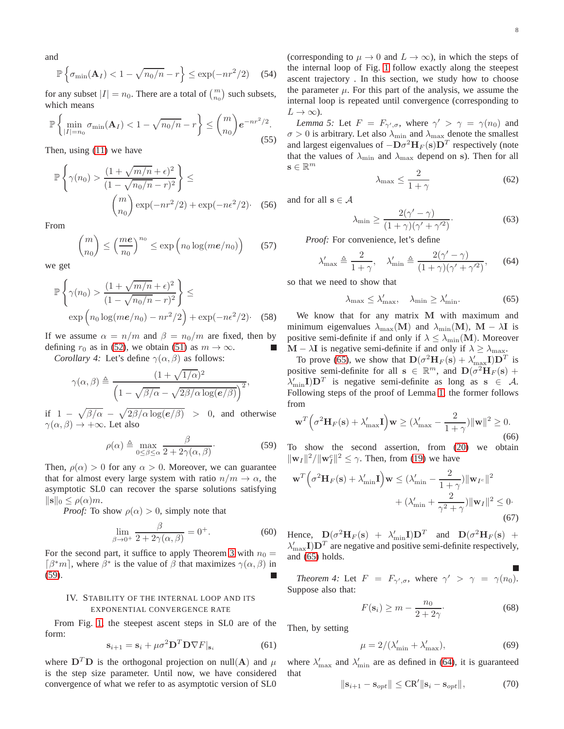and

$$
\mathbb{P}\left\{\sigma_{\min}(\mathbf{A}_I) < 1 - \sqrt{n_0/n} - r\right\} \le \exp(-nr^2/2) \quad (54)
$$

for any subset  $|I| = n_0$ . There are a total of  $\binom{m}{n_0}$  such subsets, which means

$$
\mathbb{P}\left\{\min_{|I|=n_0}\sigma_{\min}(\mathbf{A}_I) < 1 - \sqrt{n_0/n} - r\right\} \leq \binom{m}{n_0}e^{-nr^2/2}.\tag{55}
$$

Then, using [\(11\)](#page-3-0) we have

$$
\mathbb{P}\left\{\gamma(n_0) > \frac{(1+\sqrt{m/n}+\epsilon)^2}{(1-\sqrt{n_0/n}-r)^2}\right\} \le
$$

$$
\binom{m}{n_0} \exp(-nr^2/2) + \exp(-n\epsilon^2/2). \quad (56)
$$

From

$$
\binom{m}{n_0} \le \left(\frac{me}{n_0}\right)^{n_0} \le \exp\left(n_0 \log(m\epsilon/n_0)\right) \qquad (57)
$$

we get

$$
\mathbb{P}\left\{\gamma(n_0) > \frac{(1+\sqrt{m/n}+\epsilon)^2}{(1-\sqrt{n_0/n}-r)^2}\right\} \le \exp\left(n_0\log(m\epsilon/n_0) - nr^2/2\right) + \exp(-n\epsilon^2/2). \quad (58)
$$

<span id="page-7-0"></span>If we assume  $\alpha = n/m$  and  $\beta = n_0/m$  are fixed, then by defining  $r_0$  as in [\(52\)](#page-6-5), we obtain [\(51\)](#page-6-6) as  $m \to \infty$ .

*Corollary 4:* Let's define  $\gamma(\alpha, \beta)$  as follows:

$$
\gamma(\alpha, \beta) \triangleq \frac{(1 + \sqrt{1/\alpha})^2}{\left(1 - \sqrt{\beta/\alpha} - \sqrt{2\beta/\alpha \log(e/\beta)}\right)^2},
$$

if  $1 - \sqrt{\frac{\beta}{\alpha}} - \sqrt{\frac{2\beta}{\alpha \log(e/\beta)}} > 0$ , and otherwise  $\gamma(\alpha, \beta) \rightarrow +\infty$ . Let also

<span id="page-7-2"></span>
$$
\rho(\alpha) \triangleq \max_{0 \le \beta \le \alpha} \frac{\beta}{2 + 2\gamma(\alpha, \beta)}.
$$
\n(59)

Then,  $\rho(\alpha) > 0$  for any  $\alpha > 0$ . Moreover, we can guarantee that for almost every large system with ratio  $n/m \to \alpha$ , the asymptotic SL0 can recover the sparse solutions satisfying  $\|\mathbf{s}\|_0 \leq \rho(\alpha)m$ .

*Proof:* To show  $\rho(\alpha) > 0$ , simply note that

$$
\lim_{\beta \to 0^+} \frac{\beta}{2 + 2\gamma(\alpha, \beta)} = 0^+.
$$
 (60)

For the second part, it suffice to apply Theorem [3](#page-6-7) with  $n_0 =$  $\lceil \beta^*m \rceil$ , where  $\beta^*$  is the value of  $\beta$  that maximizes  $\gamma(\alpha, \beta)$  in [\(59\)](#page-7-2).

## <span id="page-7-1"></span>IV. STABILITY OF THE INTERNAL LOOP AND ITS EXPONENTIAL CONVERGENCE RATE

From Fig. [1,](#page-1-0) the steepest ascent steps in SL0 are of the form:

<span id="page-7-5"></span>
$$
\mathbf{s}_{i+1} = \mathbf{s}_i + \mu \sigma^2 \mathbf{D}^T \mathbf{D} \nabla F | \mathbf{s}_i \tag{61}
$$

where  $D^T D$  is the orthogonal projection on null(A) and  $\mu$ is the step size parameter. Until now, we have considered convergence of what we refer to as asymptotic version of SL0 (corresponding to  $\mu \to 0$  and  $L \to \infty$ ), in which the steps of the internal loop of Fig. [1](#page-1-0) follow exactly along the steepest ascent trajectory . In this section, we study how to choose the parameter  $\mu$ . For this part of the analysis, we assume the internal loop is repeated until convergence (corresponding to  $L \to \infty$ ).

*Lemma 5:* Let  $F = F_{\gamma', \sigma}$ , where  $\gamma' > \gamma = \gamma(n_0)$  and  $\sigma > 0$  is arbitrary. Let also  $\lambda_{\min}$  and  $\lambda_{\max}$  denote the smallest and largest eigenvalues of  $-\mathbf{D}\sigma^2\mathbf{H}_F(\mathbf{s})\mathbf{D}^T$  respectively (note that the values of  $\lambda_{\min}$  and  $\lambda_{\max}$  depend on s). Then for all  $\mathbf{s} \in \mathbb{R}^m$ 

$$
\lambda_{\max} \le \frac{2}{1+\gamma} \tag{62}
$$

and for all  $s \in A$ 

$$
\lambda_{\min} \ge \frac{2(\gamma' - \gamma)}{(1 + \gamma)(\gamma' + \gamma'^2)}.\tag{63}
$$

*Proof:* For convenience, let's define

<span id="page-7-4"></span>
$$
\lambda'_{\max} \triangleq \frac{2}{1+\gamma}, \quad \lambda'_{\min} \triangleq \frac{2(\gamma'-\gamma)}{(1+\gamma)(\gamma'+\gamma'^2)},\tag{64}
$$

so that we need to show that

<span id="page-7-3"></span>
$$
\lambda_{\max} \le \lambda'_{\max}, \quad \lambda_{\min} \ge \lambda'_{\min}.
$$
 (65)

We know that for any matrix M with maximum and minimum eigenvalues  $\lambda_{\text{max}}(\textbf{M})$  and  $\lambda_{\text{min}}(\textbf{M})$ ,  $\textbf{M} - \lambda \textbf{I}$  is positive semi-definite if and only if  $\lambda \leq \lambda_{\min}(\mathbf{M})$ . Moreover  $M - \lambda I$  is negative semi-definite if and only if  $\lambda \ge \lambda_{\text{max}}$ .

To prove [\(65\)](#page-7-3), we show that  $\mathbf{D}(\sigma^2 \mathbf{H}_F(\mathbf{s}) + \lambda'_{\max} \mathbf{I}) \mathbf{D}^T$  is positive semi-definite for all  $\mathbf{s} \in \mathbb{R}^m$ , and  $\mathbf{D}(\sigma^2 \mathbf{H}_F(\mathbf{s}) + \sigma^2 \mathbf{H}_F(\mathbf{s}))$  $\lambda'_{\min}I$ ) $D^T$  is negative semi-definite as long as  $s \in A$ . Following steps of the proof of Lemma [1,](#page-3-3) the former follows from

$$
\mathbf{w}^T \left( \sigma^2 \mathbf{H}_F(\mathbf{s}) + \lambda'_{\max} \mathbf{I} \right) \mathbf{w} \ge (\lambda'_{\max} - \frac{2}{1+\gamma}) \|\mathbf{w}\|^2 \ge 0.
$$
\n(66)

To show the second assertion, from [\(20\)](#page-3-6) we obtain  $\|\mathbf{w}_I\|^2 / \|\mathbf{w}_I^c\|^2 \le \gamma$ . Then, from [\(19\)](#page-3-10) we have

$$
\mathbf{w}^T \left( \sigma^2 \mathbf{H}_F(\mathbf{s}) + \lambda'_{\min} \mathbf{I} \right) \mathbf{w} \le (\lambda'_{\min} - \frac{2}{1+\gamma}) \|\mathbf{w}_{I^c}\|^2
$$
  
+  $(\lambda'_{\min} + \frac{2}{\gamma^2 + \gamma}) \|\mathbf{w}_I\|^2 \le 0.$  (67)

Hence,  $D(\sigma^2 H_F(s) + \lambda'_{\text{min}} I) D^T$  and  $D(\sigma^2 H_F(s) +$  $\lambda'_{\max} I$ ) $D<sup>T</sup>$  are negative and positive semi-definite respectively, and [\(65\)](#page-7-3) holds.

<span id="page-7-9"></span>*Theorem 4:* Let  $F = F_{\gamma', \sigma}$ , where  $\gamma' > \gamma = \gamma(n_0)$ . Suppose also that:

<span id="page-7-6"></span>
$$
F(\mathbf{s}_i) \ge m - \frac{n_0}{2 + 2\gamma}.\tag{68}
$$

Then, by setting

<span id="page-7-7"></span>
$$
\mu = 2/(\lambda'_{\min} + \lambda'_{\max}),\tag{69}
$$

where  $\lambda'_{\text{max}}$  and  $\lambda'_{\text{min}}$  are as defined in [\(64\)](#page-7-4), it is guaranteed that

<span id="page-7-8"></span>
$$
\|\mathbf{s}_{i+1} - \mathbf{s}_{opt}\| \leq \mathbf{CR}' \|\mathbf{s}_i - \mathbf{s}_{opt}\|,\tag{70}
$$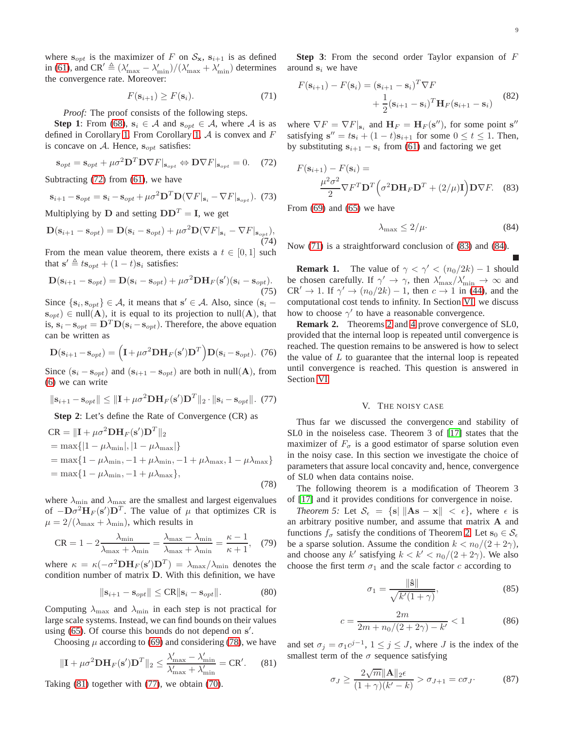where  $s_{opt}$  is the maximizer of F on  $S_{\mathbf{x}}$ ,  $s_{i+1}$  is as defined in [\(61\)](#page-7-5), and CR<sup> $\prime \triangleq (\lambda'_{\text{max}} - \lambda'_{\text{min}})/(\lambda'_{\text{max}} + \lambda'_{\text{min}})$  determines</sup> the convergence rate. Moreover:

<span id="page-8-5"></span>
$$
F(\mathbf{s}_{i+1}) \ge F(\mathbf{s}_i). \tag{71}
$$

*Proof:* The proof consists of the following steps.

**Step 1**: From [\(68\)](#page-7-6),  $s_i \in A$  and  $s_{opt} \in A$ , where A is as defined in Corollary [1.](#page-4-2) From Corollary [1,](#page-4-2)  $A$  is convex and  $F$ is concave on A. Hence,  $s_{opt}$  satisfies:

<span id="page-8-1"></span>
$$
\mathbf{s}_{opt} = \mathbf{s}_{opt} + \mu \sigma^2 \mathbf{D}^T \mathbf{D} \nabla F |_{\mathbf{s}_{opt}} \Leftrightarrow \mathbf{D} \nabla F |_{\mathbf{s}_{opt}} = 0. \tag{72}
$$

Subtracting [\(72\)](#page-8-1) from [\(61\)](#page-7-5), we have

$$
\mathbf{s}_{i+1} - \mathbf{s}_{opt} = \mathbf{s}_i - \mathbf{s}_{opt} + \mu \sigma^2 \mathbf{D}^T \mathbf{D} (\nabla F | \mathbf{s}_i - \nabla F | \mathbf{s}_{opt}). \tag{73}
$$

Multiplying by **D** and setting  $DD<sup>T</sup> = I$ , we get

$$
\mathbf{D}(\mathbf{s}_{i+1} - \mathbf{s}_{opt}) = \mathbf{D}(\mathbf{s}_i - \mathbf{s}_{opt}) + \mu \sigma^2 \mathbf{D} (\nabla F |_{\mathbf{s}_i} - \nabla F |_{\mathbf{s}_{opt}}),
$$
\n(74)

From the mean value theorem, there exists a  $t \in [0, 1]$  such that  $\mathbf{s}' \triangleq t\mathbf{s}_{opt} + (1 - t)\mathbf{s}_i$  satisfies:

$$
\mathbf{D}(\mathbf{s}_{i+1} - \mathbf{s}_{opt}) = \mathbf{D}(\mathbf{s}_i - \mathbf{s}_{opt}) + \mu \sigma^2 \mathbf{D} \mathbf{H}_F(\mathbf{s}')( \mathbf{s}_i - \mathbf{s}_{opt}).
$$
\n(75)

Since  $\{s_i, s_{opt}\} \in \mathcal{A}$ , it means that  $s' \in \mathcal{A}$ . Also, since  $(s_i$  $s_{opt}$ ) ∈ null(A), it is equal to its projection to null(A), that is,  $s_i - s_{opt} = D^T D(s_i - s_{opt})$ . Therefore, the above equation can be written as

$$
\mathbf{D}(\mathbf{s}_{i+1} - \mathbf{s}_{opt}) = \left(\mathbf{I} + \mu \sigma^2 \mathbf{D} \mathbf{H}_F(\mathbf{s}') \mathbf{D}^T\right) \mathbf{D}(\mathbf{s}_i - \mathbf{s}_{opt}). \tag{76}
$$

Since  $(s_i - s_{opt})$  and  $(s_{i+1} - s_{opt})$  are both in null(A), from [\(6\)](#page-2-5) we can write

<span id="page-8-4"></span>
$$
\|\mathbf{s}_{i+1} - \mathbf{s}_{opt}\| \le \|\mathbf{I} + \mu \sigma^2 \mathbf{D} \mathbf{H}_F(\mathbf{s}') \mathbf{D}^T\|_2 \cdot \|\mathbf{s}_i - \mathbf{s}_{opt}\|. \tag{77}
$$

**Step 2**: Let's define the Rate of Convergence (CR) as

<span id="page-8-2"></span>
$$
CR = ||\mathbf{I} + \mu \sigma^2 \mathbf{D} \mathbf{H}_F(\mathbf{s}') \mathbf{D}^T ||_2
$$
  
= max{ |1 - \mu\lambda\_{\min}|, |1 - \mu\lambda\_{\max}| }  
= max{1 - \mu\lambda\_{\min}, -1 + \mu\lambda\_{\min}, -1 + \mu\lambda\_{\max}, 1 - \mu\lambda\_{\max} }  
= max{1 - \mu\lambda\_{\min}, -1 + \mu\lambda\_{\max}}, (78)

where  $\lambda_{\text{min}}$  and  $\lambda_{\text{max}}$  are the smallest and largest eigenvalues of  $-\mathbf{D}\sigma^2\mathbf{H}_F(\mathbf{s}')\mathbf{D}^T$ . The value of  $\mu$  that optimizes CR is  $\mu = 2/(\lambda_{\text{max}} + \lambda_{\text{min}})$ , which results in

$$
CR = 1 - 2\frac{\lambda_{\min}}{\lambda_{\max} + \lambda_{\min}} = \frac{\lambda_{\max} - \lambda_{\min}}{\lambda_{\max} + \lambda_{\min}} = \frac{\kappa - 1}{\kappa + 1}, \quad (79)
$$

where  $\kappa = \kappa(-\sigma^2 \mathbf{DH}_F(\mathbf{s'})\mathbf{D}^T) = \lambda_{\max}/\lambda_{\min}$  denotes the condition number of matrix D. With this definition, we have

$$
\|\mathbf{s}_{i+1} - \mathbf{s}_{opt}\| \leq \mathbf{CR} \|\mathbf{s}_i - \mathbf{s}_{opt}\|.
$$
 (80)

Computing  $\lambda_{\text{max}}$  and  $\lambda_{\text{min}}$  in each step is not practical for large scale systems. Instead, we can find bounds on their values using [\(65\)](#page-7-3). Of course this bounds do not depend on s'.

Choosing  $\mu$  according to [\(69\)](#page-7-7) and considering [\(78\)](#page-8-2), we have

<span id="page-8-3"></span>
$$
\|\mathbf{I} + \mu \sigma^2 \mathbf{D} \mathbf{H}_F(\mathbf{s}') \mathbf{D}^T\|_2 \le \frac{\lambda'_{\text{max}} - \lambda'_{\text{min}}}{\lambda'_{\text{max}} + \lambda'_{\text{min}}} = \mathbf{C} \mathbf{R}'. \tag{81}
$$

Taking [\(81\)](#page-8-3) together with [\(77\)](#page-8-4), we obtain [\(70\)](#page-7-8).

**Step 3**: From the second order Taylor expansion of F around  $s_i$  we have

$$
F(\mathbf{s}_{i+1}) - F(\mathbf{s}_i) = (\mathbf{s}_{i+1} - \mathbf{s}_i)^T \nabla F
$$
  
 
$$
+ \frac{1}{2} (\mathbf{s}_{i+1} - \mathbf{s}_i)^T \mathbf{H}_F(\mathbf{s}_{i+1} - \mathbf{s}_i)
$$
(82)

where  $\nabla F = \nabla F|_{\mathbf{s}_i}$  and  $\mathbf{H}_F = \mathbf{H}_F(\mathbf{s}'')$ , for some point  $\mathbf{s}''$ satisfying  $\mathbf{s}'' = t\mathbf{s}_i + (1-t)\mathbf{s}_{i+1}$  for some  $0 \le t \le 1$ . Then, by substituting  $s_{i+1} - s_i$  from [\(61\)](#page-7-5) and factoring we get

$$
F(\mathbf{s}_{i+1}) - F(\mathbf{s}_i) = \frac{\mu^2 \sigma^2}{2} \nabla F^T \mathbf{D}^T \left( \sigma^2 \mathbf{D} \mathbf{H}_F \mathbf{D}^T + (2/\mu) \mathbf{I} \right) \mathbf{D} \nabla F. \quad (83)
$$

From  $(69)$  and  $(65)$  we have

<span id="page-8-7"></span><span id="page-8-6"></span>
$$
\lambda_{\text{max}} \le 2/\mu \tag{84}
$$

Now [\(71\)](#page-8-5) is a straightforward conclusion of [\(83\)](#page-8-6) and [\(84\)](#page-8-7).

**Remark 1.** The value of  $\gamma < \gamma' < (n_0/2k) - 1$  should be chosen carefully. If  $\gamma' \to \gamma$ , then  $\lambda'_{\text{max}}/\lambda'_{\text{min}} \to \infty$  and  $CR' \rightarrow 1$ . If  $\gamma' \rightarrow (n_0/2k) - 1$ , then  $c \rightarrow 1$  in [\(44\)](#page-5-9), and the computational cost tends to infinity. In Section [VI,](#page-9-0) we discuss how to choose  $\gamma'$  to have a reasonable convergence.

**Remark 2.** Theorems [2](#page-5-0) and [4](#page-7-9) prove convergence of SL0, provided that the internal loop is repeated until convergence is reached. The question remains to be answered is how to select the value of  $L$  to guarantee that the internal loop is repeated until convergence is reached. This question is answered in Section [VI.](#page-9-0)

#### V. THE NOISY CASE

<span id="page-8-0"></span>Thus far we discussed the convergence and stability of SL0 in the noiseless case. Theorem 3 of [\[17\]](#page-13-5) states that the maximizer of  $F_{\sigma}$  is a good estimator of sparse solution even in the noisy case. In this section we investigate the choice of parameters that assure local concavity and, hence, convergence of SL0 when data contains noise.

The following theorem is a modification of Theorem 3 of [\[17\]](#page-13-5) and it provides conditions for convergence in noise.

*Theorem 5:* Let  $S_{\epsilon} = \{s | \|As - x\| < \epsilon\}$ , where  $\epsilon$  is an arbitrary positive number, and assume that matrix A and functions  $f_{\sigma}$  satisfy the conditions of Theorem [2.](#page-5-0) Let  $s_0 \in S_{\epsilon}$ be a sparse solution. Assume the condition  $k < n_0/(2 + 2\gamma)$ , and choose any k' satisfying  $k < k' < n_0/(2 + 2\gamma)$ . We also choose the first term  $\sigma_1$  and the scale factor c according to

<span id="page-8-9"></span>
$$
\sigma_1 = \frac{\|\hat{\mathbf{s}}\|}{\sqrt{k'(1+\gamma)}},\tag{85}
$$

<span id="page-8-10"></span>
$$
c = \frac{2m}{2m + n_0/(2 + 2\gamma) - k'} < 1 \tag{86}
$$

and set  $\sigma_j = \sigma_1 c^{j-1}$ ,  $1 \le j \le J$ , where J is the index of the smallest term of the  $\sigma$  sequence satisfying

<span id="page-8-8"></span>
$$
\sigma_J \ge \frac{2\sqrt{m} \|\mathbf{A}\|_2 \epsilon}{(1+\gamma)(k'-k)} > \sigma_{J+1} = c\sigma_J.
$$
 (87)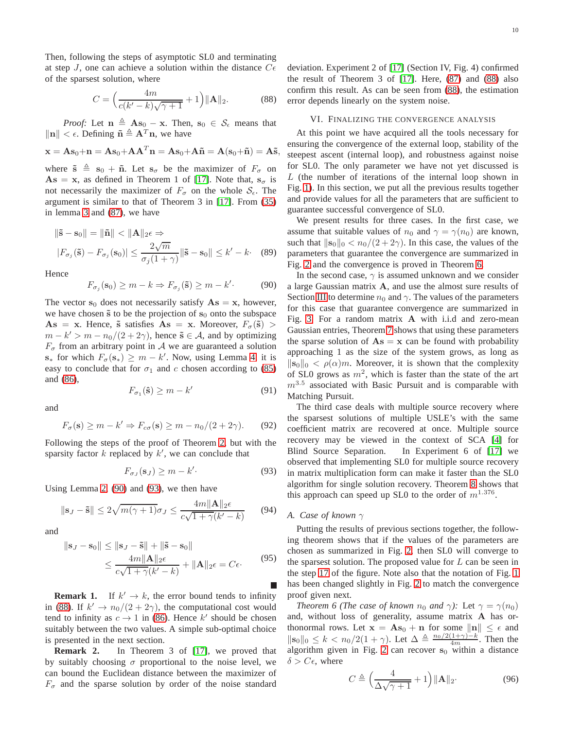Then, following the steps of asymptotic SL0 and terminating at step J, one can achieve a solution within the distance  $C\epsilon$ of the sparsest solution, where

<span id="page-9-3"></span>
$$
C = \left(\frac{4m}{c(k'-k)\sqrt{\gamma+1}} + 1\right) ||\mathbf{A}||_2.
$$
 (88)

*Proof:* Let  $n \triangleq As_0 - x$ . Then,  $s_0 \in S_\epsilon$  means that  $\|\mathbf{n}\| < \epsilon$ . Defining  $\tilde{\mathbf{n}} \triangleq \mathbf{A}^T \mathbf{n}$ , we have

$$
\mathbf{x} = \mathbf{A}\mathbf{s}_0 + \mathbf{n} = \mathbf{A}\mathbf{s}_0 + \mathbf{A}\mathbf{A}^T \mathbf{n} = \mathbf{A}\mathbf{s}_0 + \mathbf{A}\tilde{\mathbf{n}} = \mathbf{A}(\mathbf{s}_0 + \tilde{\mathbf{n}}) = \mathbf{A}\tilde{\mathbf{s}},
$$

where  $\tilde{\mathbf{s}} \triangleq \mathbf{s}_0 + \tilde{\mathbf{n}}$ . Let  $\mathbf{s}_{\sigma}$  be the maximizer of  $F_{\sigma}$  on  $\mathbf{A}\mathbf{s} = \mathbf{x}$ , as defined in Theorem 1 of [\[17\]](#page-13-5). Note that,  $\mathbf{s}_{\sigma}$  is not necessarily the maximizer of  $F_{\sigma}$  on the whole  $S_{\epsilon}$ . The argument is similar to that of Theorem 3 in [\[17\]](#page-13-5). From [\(35\)](#page-5-3) in lemma [3](#page-5-1) and [\(87\)](#page-8-8), we have

$$
\|\tilde{\mathbf{s}} - \mathbf{s}_0\| = \|\tilde{\mathbf{n}}\| < \|\mathbf{A}\|_2 \epsilon \Rightarrow
$$
  

$$
|F_{\sigma_j}(\tilde{\mathbf{s}}) - F_{\sigma_j}(\mathbf{s}_0)| \le \frac{2\sqrt{m}}{\sigma_j(1+\gamma)} \|\tilde{\mathbf{s}} - \mathbf{s}_0\| \le k' - k. \quad (89)
$$

Hence

<span id="page-9-1"></span>
$$
F_{\sigma_j}(\mathbf{s}_0) \ge m - k \Rightarrow F_{\sigma_j}(\tilde{\mathbf{s}}) \ge m - k'. \tag{90}
$$

The vector  $s_0$  does not necessarily satisfy  $As = x$ , however, we have chosen  $\tilde{s}$  to be the projection of  $s_0$  onto the subspace  $\mathbf{As} = \mathbf{x}$ . Hence,  $\tilde{\mathbf{s}}$  satisfies  $\mathbf{As} = \mathbf{x}$ . Moreover,  $F_{\sigma}(\tilde{\mathbf{s}})$  $m - k' > m - n_0/(2 + 2\gamma)$ , hence  $\tilde{s} \in A$ , and by optimizing  $F_{\sigma}$  from an arbitrary point in A we are guaranteed a solution  $\mathbf{s}_{*}$  for which  $F_{\sigma}(\mathbf{s}_{*}) \geq m - k'$ . Now, using Lemma [4,](#page-5-4) it is easy to conclude that for  $\sigma_1$  and c chosen according to [\(85\)](#page-8-9) and [\(86\)](#page-8-10),

$$
F_{\sigma_1}(\hat{\mathbf{s}}) \ge m - k'
$$
 (91)

and

$$
F_{\sigma}(\mathbf{s}) \ge m - k' \Rightarrow F_{c\sigma}(\mathbf{s}) \ge m - n_0/(2 + 2\gamma). \tag{92}
$$

Following the steps of the proof of Theorem [2,](#page-5-0) but with the sparsity factor  $k$  replaced by  $k'$ , we can conclude that

<span id="page-9-2"></span>
$$
F_{\sigma_J}(\mathbf{s}_J) \ge m - k'.\tag{93}
$$

Using Lemma [2,](#page-4-3) [\(90\)](#page-9-1) and [\(93\)](#page-9-2), we then have

$$
\|\mathbf{s}_J - \tilde{\mathbf{s}}\| \le 2\sqrt{m(\gamma + 1)}\sigma_J \le \frac{4m\|\mathbf{A}\|_2\epsilon}{c\sqrt{1 + \gamma}(k' - k)}\tag{94}
$$

and

$$
\|\mathbf{s}_J - \mathbf{s}_0\| \le \|\mathbf{s}_J - \tilde{\mathbf{s}}\| + \|\tilde{\mathbf{s}} - \mathbf{s}_0\|
$$
  
 
$$
\le \frac{4m\|\mathbf{A}\|_2 \epsilon}{c\sqrt{1 + \gamma}(k' - k)} + \|\mathbf{A}\|_2 \epsilon = C\epsilon.
$$
 (95)

**Remark 1.** If  $k' \rightarrow k$ , the error bound tends to infinity in [\(88\)](#page-9-3). If  $k' \to n_0/(2+2\gamma)$ , the computational cost would tend to infinity as  $c \to 1$  in [\(86\)](#page-8-10). Hence k' should be chosen suitably between the two values. A simple sub-optimal choice is presented in the next section.

**Remark 2.** In Theorem 3 of [\[17\]](#page-13-5), we proved that by suitably choosing  $\sigma$  proportional to the noise level, we can bound the Euclidean distance between the maximizer of  $F_{\sigma}$  and the sparse solution by order of the noise standard deviation. Experiment 2 of [\[17\]](#page-13-5) (Section IV, Fig. 4) confirmed the result of Theorem 3 of [\[17\]](#page-13-5). Here, [\(87\)](#page-8-8) and [\(88\)](#page-9-3) also confirm this result. As can be seen from [\(88\)](#page-9-3), the estimation error depends linearly on the system noise.

#### <span id="page-9-0"></span>VI. FINALIZING THE CONVERGENCE ANALYSIS

At this point we have acquired all the tools necessary for ensuring the convergence of the external loop, stability of the steepest ascent (internal loop), and robustness against noise for SL0. The only parameter we have not yet discussed is L (the number of iterations of the internal loop shown in Fig. [1\)](#page-1-0). In this section, we put all the previous results together and provide values for all the parameters that are sufficient to guarantee successful convergence of SL0.

We present results for three cases. In the first case, we assume that suitable values of  $n_0$  and  $\gamma = \gamma(n_0)$  are known, such that  $\|\mathbf{s}_0\|_0 < n_0/(2 + 2\gamma)$ . In this case, the values of the parameters that guarantee the convergence are summarized in Fig. [2](#page-10-0) and the convergence is proved in Theorem [6.](#page-9-4)

In the second case,  $\gamma$  is assumed unknown and we consider a large Gaussian matrix A, and use the almost sure results of Section [III](#page-6-0) to determine  $n_0$  and  $\gamma$ . The values of the parameters for this case that guarantee convergence are summarized in Fig. [3.](#page-11-1) For a random matrix A with i.i.d and zero-mean Gaussian entries, Theorem [7](#page-11-0) shows that using these parameters the sparse solution of  $\mathbf{A}\mathbf{s} = \mathbf{x}$  can be found with probability approaching 1 as the size of the system grows, as long as  $\|\mathbf{s}_0\|_0 < \rho(\alpha)m$ . Moreover, it is shown that the complexity of SL0 grows as  $m^2$ , which is faster than the state of the art  $m^{3.5}$  associated with Basic Pursuit and is comparable with Matching Pursuit.

The third case deals with multiple source recovery where the sparsest solutions of multiple USLE's with the same coefficient matrix are recovered at once. Multiple source recovery may be viewed in the context of SCA [\[4\]](#page-12-3) for Blind Source Separation. In Experiment 6 of [\[17\]](#page-13-5) we observed that implementing SL0 for multiple source recovery in matrix multiplication form can make it faster than the SL0 algorithm for single solution recovery. Theorem [8](#page-12-12) shows that this approach can speed up SL0 to the order of  $m^{1.376}$ .

## *A. Case of known* γ

Putting the results of previous sections together, the following theorem shows that if the values of the parameters are chosen as summarized in Fig. [2,](#page-10-0) then SL0 will converge to the sparsest solution. The proposed value for  $L$  can be seen in the step [17](#page-10-1) of the figure. Note also that the notation of Fig. [1](#page-1-0) has been changed slightly in Fig. [2](#page-10-0) to match the convergence proof given next.

<span id="page-9-4"></span>*Theorem 6 (The case of known*  $n_0$  *and*  $\gamma$ *):* Let  $\gamma = \gamma(n_0)$ and, without loss of generality, assume matrix A has orthonormal rows. Let  $x = As_0 + n$  for some  $||n|| \leq \epsilon$  and  $\|\mathbf{s}_0\|_0 \leq k < n_0/2(1+\gamma)$ . Let  $\Delta \triangleq \frac{n_0/2(1+\gamma)-k}{4m}$ . Then the algorithm given in Fig. [2](#page-10-0) can recover  $s_0$  within a distance  $\delta > C\epsilon$ , where

<span id="page-9-5"></span>
$$
C \triangleq \left(\frac{4}{\Delta\sqrt{\gamma+1}} + 1\right) \|\mathbf{A}\|_2.
$$
 (96)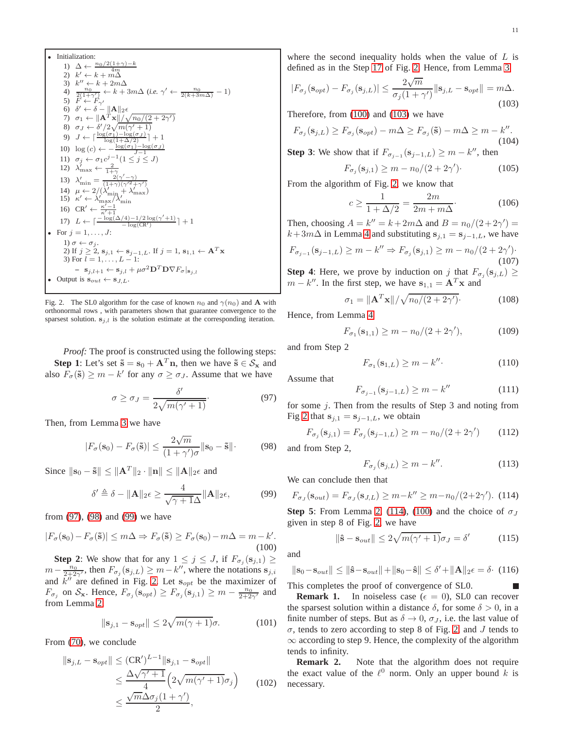\n- \n**Initialization:**\n
	\n- 1) 
	$$
	\Delta \leftarrow \frac{n_0/2(1+\gamma)-k}{4m}
	$$
	\n- 2)  $k' \leftarrow k + m\Delta$
	\n- 3)  $k'' \leftarrow k + 2m\Delta$
	\n- 4)  $\frac{2(1+\gamma')}{2(1+\gamma')} \leftarrow k + 3m\Delta$  (i.e.  $\gamma' \leftarrow \frac{n_0}{2(k+3m\Delta)} - 1$ )
	\n- 5)  $F' \leftarrow F_{\gamma'}$
	\n- 6)  $\delta' \leftarrow \delta - ||\mathbf{A}||_2 \epsilon$
	\n- 7)  $\sigma_1 \leftarrow ||\mathbf{A}^T \mathbf{x}|| / \sqrt{n_0/(2+2\gamma')}$
	\n- 8)  $\sigma_J \leftarrow \delta'^2/2n_0(\gamma' + 1)$
	\n- 9)  $J \leftarrow \lceil \frac{\log(\sigma_1) - \log(\sigma_J)}{\log(1+\Delta/2)} \rceil + 1$
	\n- 10)  $\log(c) \leftarrow -\frac{\log(\sigma_1) - \log(\sigma_J)}{J - 1}$
	\n- 11)  $\sigma_j \leftarrow \sigma_1 c^{j-1} (1 \leq j \leq J)$
	\n- 12)  $\lambda'_{\text{max}} \leftarrow \frac{2}{1+\gamma'}$
	\n- 13)  $\lambda'_{\text{min}} = \frac{2(\gamma' - \gamma)}{(\gamma + \gamma)(\gamma'^2 + \gamma')}$
	\n- 14)  $\mu \leftarrow 2/(\lambda'_{\text{min}} + \lambda'_{\text{max}})$
	\n- 15)  $\kappa' \leftarrow \lambda'_{\text{max}}/\lambda'_{\text{min}}$
	\n- 16)  $CR' \leftarrow \frac{\kappa' - 1}{\kappa' + 1}$
	\n- 17)  $L \leftarrow \lceil \frac{-\log(\Delta/4) - 1/2 \log(\gamma' + 1)}{-\log(\text{CR}')} \rceil + 1$
	\n- • For  $j = 1, \ldots$

<span id="page-10-1"></span><span id="page-10-0"></span>Fig. 2. The SL0 algorithm for the case of known  $n_0$  and  $\gamma(n_0)$  and **A** with orthonormal rows , with parameters shown that guarantee convergence to the sparsest solution.  $s_{j,l}$  is the solution estimate at the corresponding iteration.

*Proof:* The proof is constructed using the following steps: **Step 1**: Let's set  $\tilde{\mathbf{s}} = \mathbf{s}_0 + \mathbf{A}^T \mathbf{n}$ , then we have  $\tilde{\mathbf{s}} \in \mathcal{S}_{\mathbf{x}}$  and also  $F_{\sigma}(\tilde{s}) \ge m - k'$  for any  $\sigma \ge \sigma_J$ . Assume that we have

<span id="page-10-2"></span>
$$
\sigma \ge \sigma_J = \frac{\delta'}{2\sqrt{m(\gamma' + 1)}}.\tag{97}
$$

Then, from Lemma [3](#page-5-1) we have

<span id="page-10-3"></span>
$$
|F_{\sigma}(\mathbf{s}_0) - F_{\sigma}(\tilde{\mathbf{s}})| \le \frac{2\sqrt{m}}{(1+\gamma')\sigma} ||\mathbf{s}_0 - \tilde{\mathbf{s}}|| \qquad (98)
$$

Since  $\|\mathbf{s}_0 - \tilde{\mathbf{s}}\| \leq \|\mathbf{A}^T\|_2 \cdot \|\mathbf{n}\| \leq \|\mathbf{A}\|_2 \epsilon$  and

<span id="page-10-4"></span>
$$
\delta' \triangleq \delta - \|\mathbf{A}\|_2 \epsilon \ge \frac{4}{\sqrt{\gamma + 1}\Delta} \|\mathbf{A}\|_2 \epsilon, \tag{99}
$$

from [\(97\)](#page-10-2), [\(98\)](#page-10-3) and [\(99\)](#page-10-4) we have

<span id="page-10-5"></span>
$$
|F_{\sigma}(\mathbf{s}_0) - F_{\sigma}(\tilde{\mathbf{s}})| \le m\Delta \Rightarrow F_{\sigma}(\tilde{\mathbf{s}}) \ge F_{\sigma}(\mathbf{s}_0) - m\Delta = m - k'.
$$
\n(100)

**Step 2**: We show that for any  $1 \leq j \leq J$ , if  $F_{\sigma_j}(\mathbf{s}_{j,1}) \geq$  $m - \frac{n_0}{2 + 2\gamma'}$ , then  $F_{\sigma_j}(\mathbf{s}_{j,L}) \geq m - k''$ , where the notations  $\mathbf{s}_{j,i}$ and  $\overline{k}''$  are defined in Fig. [2.](#page-10-0) Let  $s_{opt}$  be the maximizer of  $F_{\sigma_j}$  on  $S_{\mathbf{x}}$ . Hence,  $F_{\sigma_j}(\mathbf{s}_{opt}) \geq F_{\sigma_j}(\mathbf{s}_{j,1}) \geq m - \frac{n_0}{2+2\gamma'}$  and from Lemma [2,](#page-4-3)

$$
\|\mathbf{s}_{j,1} - \mathbf{s}_{opt}\| \le 2\sqrt{m(\gamma + 1)}\sigma. \tag{101}
$$

From [\(70\)](#page-7-8), we conclude

$$
\|\mathbf{s}_{j,L} - \mathbf{s}_{opt}\| \leq (\mathbf{CR}')^{L-1} \|\mathbf{s}_{j,1} - \mathbf{s}_{opt}\|
$$
  
\n
$$
\leq \frac{\Delta \sqrt{\gamma' + 1}}{4} \left(2\sqrt{m(\gamma' + 1)}\sigma_j\right) \qquad (102)
$$
  
\n
$$
\leq \frac{\sqrt{m}\Delta \sigma_j(1 + \gamma')}{2},
$$

where the second inequality holds when the value of  $L$  is defined as in the Step [17](#page-10-1) of Fig. [2.](#page-10-0) Hence, from Lemma [3](#page-5-1)

<span id="page-10-6"></span>
$$
|F_{\sigma_j}(\mathbf{s}_{opt}) - F_{\sigma_j}(\mathbf{s}_{j,L})| \le \frac{2\sqrt{m}}{\sigma_j(1+\gamma')} ||\mathbf{s}_{j,L} - \mathbf{s}_{opt}|| = m\Delta.
$$
\n(103)

Therefore, from [\(100\)](#page-10-5) and [\(103\)](#page-10-6) we have

$$
F_{\sigma_j}(\mathbf{s}_{j,L}) \ge F_{\sigma_j}(\mathbf{s}_{opt}) - m\Delta \ge F_{\sigma_j}(\tilde{\mathbf{s}}) - m\Delta \ge m - k''.
$$
\n(104)

**Step 3**: We show that if  $F_{\sigma_{j-1}}(\mathbf{s}_{j-1,L}) \geq m - k''$ , then

$$
F_{\sigma_j}(\mathbf{s}_{j,1}) \ge m - n_0/(2 + 2\gamma'). \tag{105}
$$

From the algorithm of Fig. [2,](#page-10-0) we know that

$$
c \ge \frac{1}{1 + \Delta/2} = \frac{2m}{2m + m\Delta}.\tag{106}
$$

Then, choosing  $A = k'' = k + 2m\Delta$  and  $B = n_0/(2 + 2\gamma') =$  $k+3m\Delta$  in Lemma [4](#page-5-4) and substituting  $s_{i,1} = s_{i-1,L}$ , we have

$$
F_{\sigma_{j-1}}(\mathbf{s}_{j-1,L}) \ge m - k'' \Rightarrow F_{\sigma_j}(\mathbf{s}_{j,1}) \ge m - n_0/(2 + 2\gamma').
$$
\n(107)

**Step 4**: Here, we prove by induction on j that  $F_{\sigma_j}(\mathbf{s}_{j,L}) \geq$  $m - k''$ . In the first step, we have  $s_{1,1} = A^T x$  and

$$
\sigma_1 = \|\mathbf{A}^T \mathbf{x}\| / \sqrt{n_0/(2 + 2\gamma')}.
$$
 (108)

Hence, from Lemma [4](#page-5-4)

$$
F_{\sigma_1}(\mathbf{s}_{1,1}) \ge m - n_0/(2 + 2\gamma'),\tag{109}
$$

and from Step 2

$$
F_{\sigma_1}(\mathbf{s}_{1,L}) \ge m - k'' \tag{110}
$$

Assume that

$$
F_{\sigma_{j-1}}(\mathbf{s}_{j-1,L}) \ge m - k'' \tag{111}
$$

for some j. Then from the results of Step 3 and noting from Fig [2](#page-10-0) that  $s_{i,1} = s_{i-1,L}$ , we obtain

$$
F_{\sigma_j}(\mathbf{s}_{j,1}) = F_{\sigma_j}(\mathbf{s}_{j-1,L}) \ge m - n_0/(2 + 2\gamma') \tag{112}
$$

and from Step 2,

$$
F_{\sigma_j}(\mathbf{s}_{j,L}) \ge m - k''.
$$
\n(113)

We can conclude then that

<span id="page-10-7"></span>
$$
F_{\sigma_J}(\mathbf{s}_{out}) = F_{\sigma_J}(\mathbf{s}_{J,L}) \ge m - k'' \ge m - n_0/(2 + 2\gamma').
$$
 (114)

**Step 5**: From Lemma [2,](#page-4-3) [\(114\)](#page-10-7), [\(100\)](#page-10-5) and the choice of  $\sigma_J$ given in step 8 of Fig. [2,](#page-10-0) we have

$$
\|\hat{\mathbf{s}} - \mathbf{s}_{out}\| \le 2\sqrt{m(\gamma' + 1)}\sigma_J = \delta' \tag{115}
$$

and

$$
\|\mathbf{s}_0 - \mathbf{s}_{out}\| \le \|\hat{\mathbf{s}} - \mathbf{s}_{out}\| + \|\mathbf{s}_0 - \hat{\mathbf{s}}\| \le \delta' + \|\mathbf{A}\|_2 \epsilon = \delta. \tag{116}
$$

This completes the proof of convergence of SL0.

**Remark 1.** In noiseless case ( $\epsilon = 0$ ), SL0 can recover the sparsest solution within a distance  $\delta$ , for some  $\delta > 0$ , in a finite number of steps. But as  $\delta \to 0$ ,  $\sigma_J$ , i.e. the last value of  $\sigma$ , tends to zero according to step 8 of Fig. [2,](#page-10-0) and J tends to  $\infty$  according to step 9. Hence, the complexity of the algorithm tends to infinity.

**Remark 2.** Note that the algorithm does not require the exact value of the  $\ell^0$  norm. Only an upper bound k is necessary.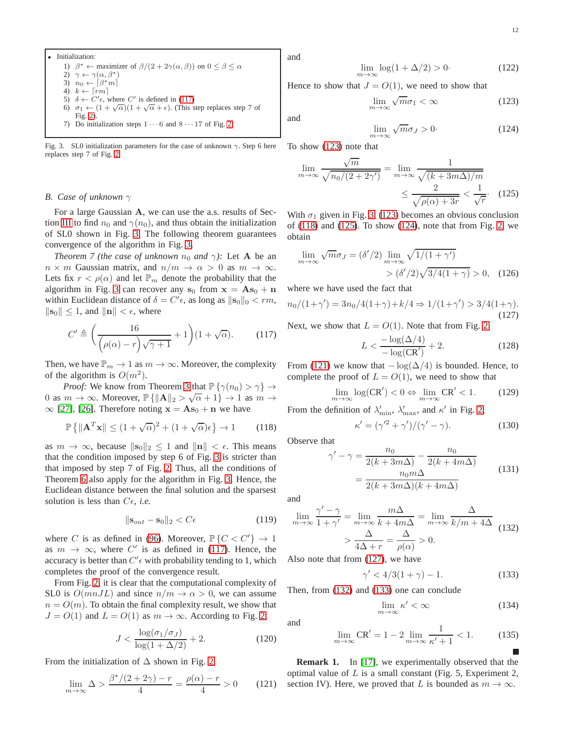\n- Initialization:
\n- 1) 
$$
\beta^* \leftarrow \text{maximizer of } \beta/(2 + 2\gamma(\alpha, \beta))
$$
 on  $0 \leq \beta \leq \alpha$
\n- 2)  $\gamma \leftarrow \gamma(\alpha, \beta^*)$
\n- 3)  $n_0 \leftarrow \lceil \beta^* m \rceil$
\n- 4)  $k \leftarrow \lceil rm \rceil$
\n- 5)  $\delta \leftarrow C' \epsilon$ , where  $C'$  is defined in (117)
\n- 6)  $\sigma_1 \leftarrow (1 + \sqrt{\alpha})(1 + \sqrt{\alpha} + \epsilon)$ . (This step replaces step 7 of Fig. 2).
\n- 7) Do initialization steps  $1 \cdots 6$  and  $8 \cdots 17$  of Fig. 2.
\n

<span id="page-11-1"></span>Fig. 3. SL0 initialization parameters for the case of unknown  $\gamma$ . Step 6 here replaces step 7 of Fig. [2.](#page-10-0)

### *B. Case of unknown* γ

For a large Gaussian A, we can use the a.s. results of Sec-tion [III](#page-6-0) to find  $n_0$  and  $\gamma(n_0)$ , and thus obtain the initialization of SL0 shown in Fig. [3.](#page-11-1) The following theorem guarantees convergence of the algorithm in Fig. [3.](#page-11-1)

<span id="page-11-0"></span>*Theorem 7 (the case of unknown*  $n_0$  *and*  $\gamma$ *):* Let **A** be an  $n \times m$  Gaussian matrix, and  $n/m \to \alpha > 0$  as  $m \to \infty$ . Lets fix  $r < \rho(\alpha)$  and let  $\mathbb{P}_m$  denote the probability that the algorithm in Fig. [3](#page-11-1) can recover any  $s_0$  from  $x = As_0 + n$ within Euclidean distance of  $\delta = C' \epsilon$ , as long as  $\|\mathbf{s}_0\|_0 < rm$ ,  $\|\mathbf{s}_0\| \leq 1$ , and  $\|\mathbf{n}\| < \epsilon$ , where

<span id="page-11-2"></span>
$$
C' \triangleq \left(\frac{16}{\left(\rho(\alpha) - r\right)\sqrt{\gamma + 1}} + 1\right) (1 + \sqrt{\alpha}).\tag{117}
$$

Then, we have  $\mathbb{P}_m \to 1$  as  $m \to \infty$ . Moreover, the complexity of the algorithm is  $O(m^2)$ .

*Proof:* We know from Theorem [3](#page-6-7) that  $\mathbb{P}\{\gamma(n_0) > \gamma\} \rightarrow$ 0 as  $m \to \infty$ . Moreover,  $\mathbb{P}\{\|\mathbf{A}\|_2 > \sqrt{\alpha} + 1\} \to 1$  as  $m \to \infty$ .  $\infty$  [\[27\]](#page-13-15), [\[26\]](#page-13-14). Therefore noting  $x = As_0 + n$  we have

<span id="page-11-4"></span>
$$
\mathbb{P}\left\{\|\mathbf{A}^T\mathbf{x}\| \le (1+\sqrt{\alpha})^2 + (1+\sqrt{\alpha})\epsilon\right\} \to 1\tag{118}
$$

as  $m \to \infty$ , because  $\|\mathbf{s}_0\|_2 \leq 1$  and  $\|\mathbf{n}\| < \epsilon$ . This means that the condition imposed by step 6 of Fig. [3](#page-11-1) is stricter than that imposed by step 7 of Fig. [2.](#page-10-0) Thus, all the conditions of Theorem [6](#page-9-4) also apply for the algorithm in Fig. [3.](#page-11-1) Hence, the Euclidean distance between the final solution and the sparsest solution is less than  $C\epsilon$ , *i.e.* 

$$
\|\mathbf{s}_{out} - \mathbf{s}_0\|_2 < C\epsilon \tag{119}
$$

where C is as defined in [\(96\)](#page-9-5). Moreover,  $\mathbb{P}\{C < C'\} \rightarrow 1$ as  $m \to \infty$ , where C' is as defined in [\(117\)](#page-11-2). Hence, the accuracy is better than  $C' \epsilon$  with probability tending to 1, which completes the proof of the convergence result.

From Fig. [2,](#page-10-0) it is clear that the computational complexity of SL0 is  $O(mnJL)$  and since  $n/m \rightarrow \alpha > 0$ , we can assume  $n = O(m)$ . To obtain the final complexity result, we show that  $J = O(1)$  and  $L = O(1)$  as  $m \to \infty$ . According to Fig. [2,](#page-10-0)

$$
J < \frac{\log(\sigma_1/\sigma_J)}{\log(1 + \Delta/2)} + 2. \tag{120}
$$

From the initialization of  $\Delta$  shown in Fig. [2,](#page-10-0)

<span id="page-11-7"></span>
$$
\lim_{m \to \infty} \Delta > \frac{\beta^*/(2+2\gamma) - r}{4} = \frac{\rho(\alpha) - r}{4} > 0 \qquad (121)
$$

and

$$
\log(1 + \Delta/2) > 0. \tag{122}
$$

Hence to show that  $J = O(1)$ , we need to show that

 $\lim_{m\to\infty}$ 

<span id="page-11-3"></span>
$$
\lim_{m \to \infty} \sqrt{m} \sigma_1 < \infty \tag{123}
$$

and

<span id="page-11-6"></span><span id="page-11-5"></span>
$$
\lim_{m \to \infty} \sqrt{m} \sigma_J > 0. \tag{124}
$$

To show [\(123\)](#page-11-3) note that

$$
\lim_{m \to \infty} \frac{\sqrt{m}}{\sqrt{n_0/(2 + 2\gamma')}} = \lim_{m \to \infty} \frac{1}{\sqrt{(k + 3m\Delta)/m}}
$$

$$
\leq \frac{2}{\sqrt{\rho(\alpha) + 3r}} < \frac{1}{\sqrt{r}}.
$$
(125)

With  $\sigma_1$  given in Fig. [3,](#page-11-1) [\(123\)](#page-11-3) becomes an obvious conclusion of  $(118)$  and  $(125)$ . To show  $(124)$ , note that from Fig. [2,](#page-10-0) we obtain

$$
\lim_{m \to \infty} \sqrt{m} \sigma_J = (\delta'/2) \lim_{m \to \infty} \sqrt{1/(1+\gamma')}
$$

$$
> (\delta'/2) \sqrt{3/4(1+\gamma)} > 0, \quad (126)
$$

where we have used the fact that

<span id="page-11-8"></span>
$$
n_0/(1+\gamma') = 3n_0/4(1+\gamma) + k/4 \Rightarrow 1/(1+\gamma') > 3/4(1+\gamma).
$$
\n(127)

Next, we show that  $L = O(1)$ . Note that from Fig. [2](#page-10-0)

$$
L < \frac{-\log(\Delta/4)}{-\log(\text{CR}')} + 2. \tag{128}
$$

From [\(121\)](#page-11-7) we know that  $-\log(\Delta/4)$  is bounded. Hence, to complete the proof of  $L = O(1)$ , we need to show that

$$
\lim_{m \to \infty} \log(\text{CR}') < 0 \Leftrightarrow \lim_{m \to \infty} \text{CR}' < 1. \tag{129}
$$

From the definition of  $\lambda'_{\text{min}}$ ,  $\lambda'_{\text{max}}$ , and  $\kappa'$  in Fig. [2,](#page-10-0)

$$
\kappa' = (\gamma'^2 + \gamma')/(\gamma' - \gamma). \tag{130}
$$

Observe that

$$
\gamma' - \gamma = \frac{n_0}{2(k + 3m\Delta)} - \frac{n_0}{2(k + 4m\Delta)}
$$

$$
= \frac{n_0 m\Delta}{2(k + 3m\Delta)(k + 4m\Delta)} \tag{131}
$$

and

and

<span id="page-11-9"></span>
$$
\lim_{m \to \infty} \frac{\gamma' - \gamma}{1 + \gamma'} = \lim_{m \to \infty} \frac{m\Delta}{k + 4m\Delta} = \lim_{m \to \infty} \frac{\Delta}{k/m + 4\Delta}
$$
\n
$$
> \frac{\Delta}{4\Delta + r} = \frac{\Delta}{\rho(\alpha)} > 0.
$$
\n(132)

Also note that from [\(127\)](#page-11-8), we have

<span id="page-11-10"></span>
$$
\gamma' < 4/3(1+\gamma) - 1. \tag{133}
$$

Then, from [\(132\)](#page-11-9) and [\(133\)](#page-11-10) one can conclude

$$
\lim_{m \to \infty} \kappa' < \infty \tag{134}
$$

$$
\lim_{m \to \infty} \mathbb{CR}' = 1 - 2 \lim_{m \to \infty} \frac{1}{\kappa' + 1} < 1. \tag{135}
$$

**Remark 1.** In [\[17\]](#page-13-5), we experimentally observed that the optimal value of  $L$  is a small constant (Fig. 5, Experiment 2, section IV). Here, we proved that L is bounded as  $m \to \infty$ .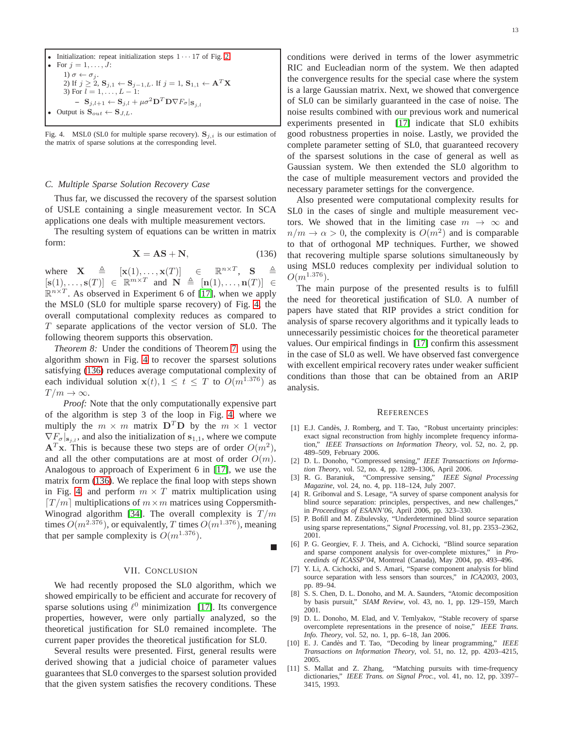\n- Initialization: repeat initialization steps 
$$
1 \cdots 17
$$
 of Fig. 2
\n- For  $j = 1, \ldots, J$ : \n
	\n- $1 \sigma \leftarrow \sigma_j$ .
	\n- $2 \text{ If } j \geq 2$ ,  $S_{j,1} \leftarrow S_{j-1,L}$ . If  $j = 1$ ,  $S_{1,1} \leftarrow A^T X$
	\n- $3 \text{ For } l = 1, \ldots, L-1$ : \n
		\n- $S_{j,l+1} \leftarrow S_{j,l} + \mu \sigma^2 \mathbf{D}^T \mathbf{D} \nabla F_{\sigma} | \mathbf{s}_{j,l}$
		\n\n
	\n- Output is  $S_{out} \leftarrow S_{J,L}$ .
	\n

<span id="page-12-13"></span>Fig. 4. MSL0 (SL0 for multiple sparse recovery).  $S_{j,i}$  is our estimation of the matrix of sparse solutions at the corresponding level.

#### <span id="page-12-11"></span>*C. Multiple Sparse Solution Recovery Case*

Thus far, we discussed the recovery of the sparsest solution of USLE containing a single measurement vector. In SCA applications one deals with multiple measurement vectors.

The resulting system of equations can be written in matrix form:

<span id="page-12-14"></span>
$$
X = AS + N,\t(136)
$$

where  $\mathbf{X} \triangleq [\mathbf{x}(1), \dots, \mathbf{x}(T)] \in$  ${}^{n \times T}, \quad S \quad \triangleq$  $[\mathbf{s}(1), \dots, \mathbf{s}(T)] \in \mathbb{R}^{m \times T}$  and  $\mathbf{N} \triangleq [\mathbf{n}(1), \dots, \mathbf{n}(T)] \in$  $\mathbb{R}^{n \times T}$ . As observed in Experiment 6 of [\[17\]](#page-13-5), when we apply the MSL0 (SL0 for multiple sparse recovery) of Fig. [4,](#page-12-13) the overall computational complexity reduces as compared to  $T$  separate applications of the vector version of SL0. The following theorem supports this observation.

*Theorem 8:* Under the conditions of Theorem [7,](#page-11-0) using the algorithm shown in Fig. [4](#page-12-13) to recover the sparsest solutions satisfying [\(136\)](#page-12-14) reduces average computational complexity of each individual solution  $\mathbf{x}(t), 1 \le t \le T$  to  $O(m^{1.376})$  as  $T/m \to \infty$ .

*Proof:* Note that the only computationally expensive part of the algorithm is step 3 of the loop in Fig. [4,](#page-12-13) where we multiply the  $m \times m$  matrix  $D^T D$  by the  $m \times 1$  vector  $\nabla F_{\sigma}|_{s_{i,l}}$ , and also the initialization of  $s_{1,1}$ , where we compute  ${\bf A}^T {\bf x}$ . This is because these two steps are of order  $O(m^2)$ , and all the other computations are at most of order  $O(m)$ . Analogous to approach of Experiment 6 in [\[17\]](#page-13-5), we use the matrix form [\(136\)](#page-12-14). We replace the final loop with steps shown in Fig. [4,](#page-12-13) and perform  $m \times T$  matrix multiplication using  $[T/m]$  multiplications of  $m \times m$  matrices using Coppersmith-Winograd algorithm [\[34\]](#page-13-22). The overall complexity is  $T/m$ times  $O(m^{2.376})$ , or equivalently, T times  $O(m^{1.376})$ , meaning that per sample complexity is  $O(m^{1.376})$ .

#### VII. CONCLUSION

We had recently proposed the SL0 algorithm, which we showed empirically to be efficient and accurate for recovery of sparse solutions using  $\ell^0$  minimization [\[17\]](#page-13-5). Its convergence properties, however, were only partially analyzed, so the theoretical justification for SL0 remained incomplete. The current paper provides the theoretical justification for SL0.

Several results were presented. First, general results were derived showing that a judicial choice of parameter values guarantees that SL0 converges to the sparsest solution provided that the given system satisfies the recovery conditions. These

conditions were derived in terms of the lower asymmetric RIC and Eucleadian norm of the system. We then adapted the convergence results for the special case where the system is a large Gaussian matrix. Next, we showed that convergence of SL0 can be similarly guaranteed in the case of noise. The noise results combined with our previous work and numerical experiments presented in [\[17\]](#page-13-5) indicate that SL0 exhibits good robustness properties in noise. Lastly, we provided the complete parameter setting of SL0, that guaranteed recovery of the sparsest solutions in the case of general as well as Gaussian system. We then extended the SL0 algorithm to the case of multiple measurement vectors and provided the necessary parameter settings for the convergence.

Also presented were computational complexity results for SL0 in the cases of single and multiple measurement vectors. We showed that in the limiting case  $m \to \infty$  and  $n/m \to \alpha > 0$ , the complexity is  $O(m^2)$  and is comparable to that of orthogonal MP techniques. Further, we showed that recovering multiple sparse solutions simultaneously by using MSL0 reduces complexity per individual solution to  $O(m^{1.376})$ .

<span id="page-12-12"></span>The main purpose of the presented results is to fulfill the need for theoretical justification of SL0. A number of papers have stated that RIP provides a strict condition for analysis of sparse recovery algorithms and it typically leads to unnecessarily pessimistic choices for the theoretical parameter values. Our empirical findings in [\[17\]](#page-13-5) confirm this assessment in the case of SL0 as well. We have observed fast convergence with excellent empirical recovery rates under weaker sufficient conditions than those that can be obtained from an ARIP analysis.

#### **REFERENCES**

- <span id="page-12-0"></span>[1] E.J. Candès, J. Romberg, and T. Tao, "Robust uncertainty principles: exact signal reconstruction from highly incomplete frequency information," *IEEE Transactions on Information Theory*, vol. 52, no. 2, pp. 489–509, February 2006.
- <span id="page-12-1"></span>[2] D. L. Donoho, "Compressed sensing," *IEEE Transactions on Information Theory*, vol. 52, no. 4, pp. 1289–1306, April 2006.
- <span id="page-12-2"></span>[3] R. G. Baraniuk, "Compressive sensing," *IEEE Signal Processing Magazine*, vol. 24, no. 4, pp. 118–124, July 2007.
- <span id="page-12-3"></span>[4] R. Gribonval and S. Lesage, "A survey of sparse component analysis for blind source separation: principles, perspectives, and new challenges," in *Proceedings of ESANN'06*, April 2006, pp. 323–330.
- <span id="page-12-4"></span>[5] P. Bofill and M. Zibulevsky, "Underdetermined blind source separation using sparse representations," *Signal Processing*, vol. 81, pp. 2353–2362, 2001.
- <span id="page-12-5"></span>[6] P. G. Georgiev, F. J. Theis, and A. Cichocki, "Blind source separation and sparse component analysis for over-complete mixtures," in *Proceedinds of ICASSP'04*, Montreal (Canada), May 2004, pp. 493–496.
- <span id="page-12-6"></span>[7] Y. Li, A. Cichocki, and S. Amari, "Sparse component analysis for blind source separation with less sensors than sources," in *ICA2003*, 2003, pp. 89–94.
- <span id="page-12-7"></span>[8] S. S. Chen, D. L. Donoho, and M. A. Saunders, "Atomic decomposition by basis pursuit," *SIAM Review*, vol. 43, no. 1, pp. 129–159, March 2001.
- <span id="page-12-8"></span>[9] D. L. Donoho, M. Elad, and V. Temlyakov, "Stable recovery of sparse overcomplete representations in the presence of noise," *IEEE Trans. Info. Theory*, vol. 52, no. 1, pp. 6–18, Jan 2006.
- <span id="page-12-9"></span>[10] E. J. Cand`es and T. Tao, "Decoding by linear programming," *IEEE Transactions on Information Theory*, vol. 51, no. 12, pp. 4203–4215, 2005.
- <span id="page-12-10"></span>[11] S. Mallat and Z. Zhang, "Matching pursuits with time-frequency dictionaries," *IEEE Trans. on Signal Proc.*, vol. 41, no. 12, pp. 3397– 3415, 1993.